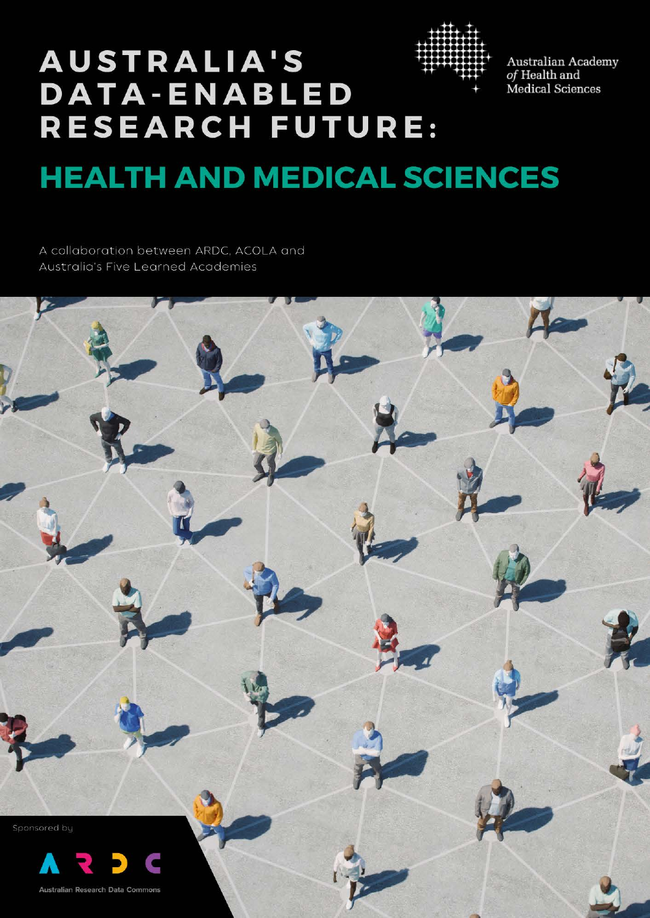

 $\begin{array}{c} \textrm{Australia Academy} \\ \textrm{of Health and} \end{array}$ Medical Sciences

# **AUSTRALIA'S DATA-ENABLED** RESEARCH FUTURE:

# **HEALTH AND MEDICAL SCIENCES**

A collaboration between ARDC, ACOLA and **Australia's Five Learned Academies** 

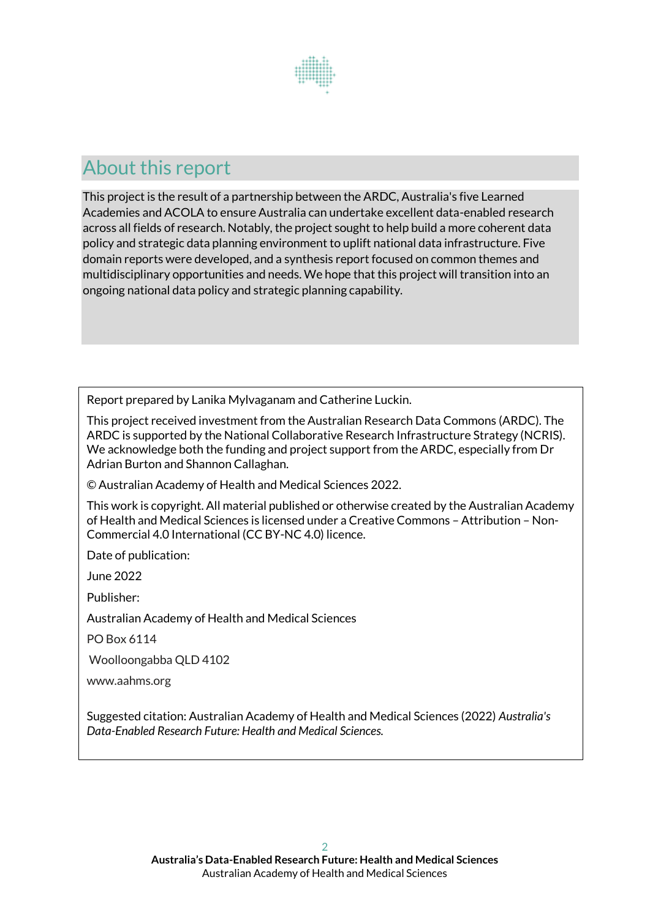

# About this report

This project is the result of a partnership between the ARDC, Australia's five Learned Academies and ACOLA to ensure Australia can undertake excellent data-enabled research across all fields of research. Notably, the project sought to help build a more coherent data policy and strategic data planning environment to uplift national data infrastructure. Five domain reports were developed, and a synthesis report focused on common themes and multidisciplinary opportunities and needs. We hope that this project will transition into an ongoing national data policy and strategic planning capability.

Report prepared by Lanika Mylvaganam and Catherine Luckin.

This project received investment from the Australian Research Data Commons (ARDC). The ARDC is supported by the National Collaborative Research Infrastructure Strategy (NCRIS). We acknowledge both the funding and project support from the ARDC, especially from Dr Adrian Burton and Shannon Callaghan.

© Australian Academy of Health and Medical Sciences 2022.

This work is copyright. All material published or otherwise created by the Australian Academy of Health and Medical Sciences is licensed under a Creative Commons – Attribution – Non-Commercial 4.0 International (CC BY-NC 4.0) licence.

Date of publication:

June 2022

Publisher:

Australian Academy of Health and Medical Sciences

PO Box 6114

Woolloongabba QLD 4102

www.aahms.org

Suggested citation: Australian Academy of Health and Medical Sciences (2022) *Australia's Data-Enabled Research Future: Health and Medical Sciences.*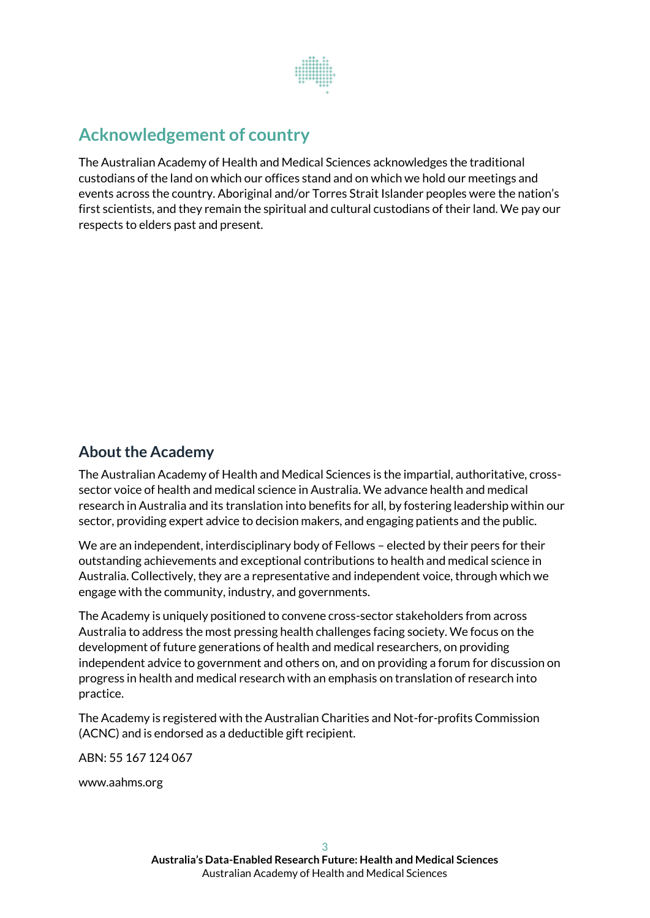

# **Acknowledgement of country**

The Australian Academy of Health and Medical Sciences acknowledges the traditional custodians of the land on which our offices stand and on which we hold our meetings and events across the country. Aboriginal and/or Torres Strait Islander peoples were the nation's first scientists, and they remain the spiritual and cultural custodians of their land. We pay our respects to elders past and present.

## **About the Academy**

The Australian Academy of Health and Medical Sciences is the impartial, authoritative, crosssector voice of health and medical science in Australia. We advance health and medical research in Australia and its translation into benefits for all, by fostering leadership within our sector, providing expert advice to decision makers, and engaging patients and the public.

We are an independent, interdisciplinary body of Fellows – elected by their peers for their outstanding achievements and exceptional contributions to health and medical science in Australia. Collectively, they are a representative and independent voice, through which we engage with the community, industry, and governments.

The Academy is uniquely positioned to convene cross-sector stakeholders from across Australia to address the most pressing health challenges facing society. We focus on the development of future generations of health and medical researchers, on providing independent advice to government and others on, and on providing a forum for discussion on progress in health and medical research with an emphasis on translation of research into practice.

The Academy is registered with the Australian Charities and Not-for-profits Commission (ACNC) and is endorsed as a deductible gift recipient.

ABN: 55 167 124 067

www.aahms.org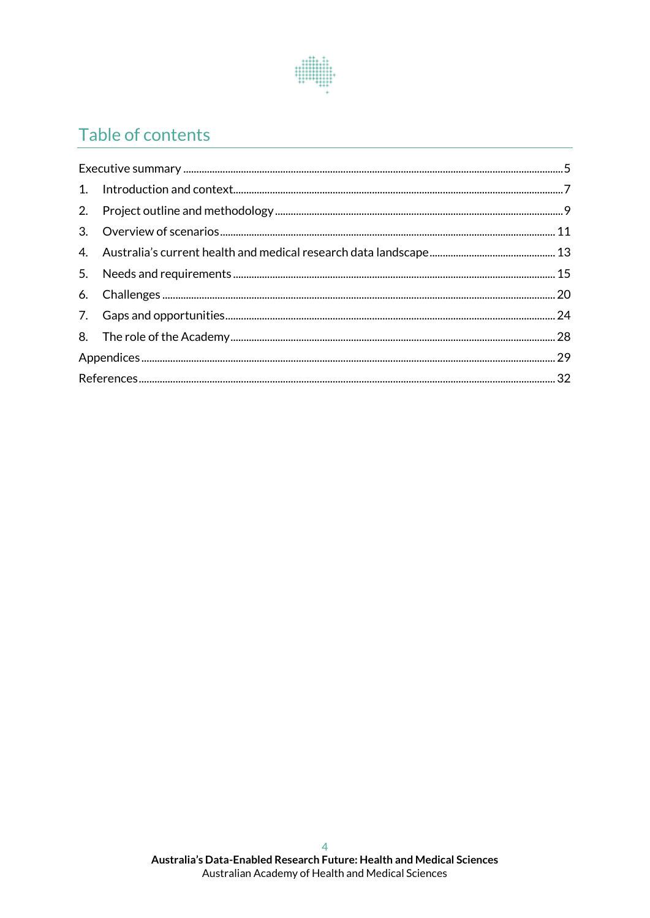

# Table of contents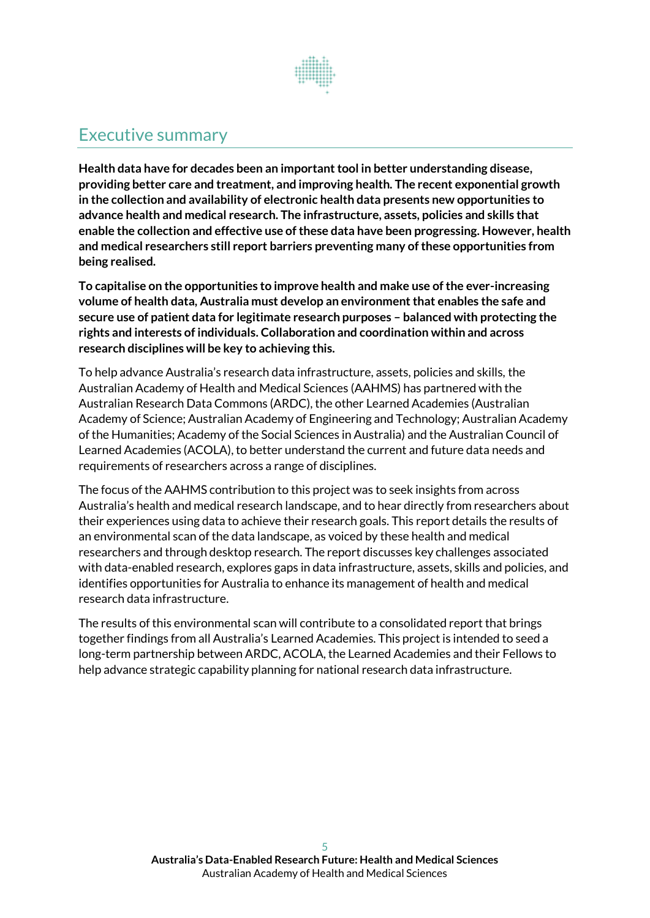

# <span id="page-4-0"></span>Executive summary

**Health data have for decades been an important tool in better understanding disease, providing better care and treatment, and improving health. The recent exponential growth in the collection and availability of electronic health data presents new opportunities to advance health and medical research. The infrastructure, assets, policies and skills that enable the collection and effective use ofthese data have been progressing. However, health and medical researchers still report barriers preventing many of these opportunities from being realised.** 

**To capitalise on the opportunities to improve health and make use of the ever-increasing volume of health data, Australia must develop an environment that enables the safe and secure use of patient data for legitimate research purposes – balanced with protecting the rights and interests of individuals. Collaboration and coordination within and across research disciplines will be key to achieving this.**

To help advance Australia's research data infrastructure, assets, policies and skills, the Australian Academy of Health and Medical Sciences (AAHMS) has partnered with the Australian Research Data Commons (ARDC), the other Learned Academies (Australian Academy of Science; Australian Academy of Engineering and Technology; Australian Academy of the Humanities; Academy of the Social Sciences in Australia) and the Australian Council of Learned Academies (ACOLA), to better understand the current and future data needs and requirements of researchers across a range of disciplines.

The focus of the AAHMS contribution to this project was to seek insights from across Australia's health and medical research landscape, and to hear directly from researchers about their experiences using data to achieve their research goals. This report details the results of an environmental scan of the data landscape, as voiced by these health and medical researchers and through desktop research. The report discusses key challenges associated with data-enabled research, explores gaps in data infrastructure, assets, skills and policies, and identifies opportunities for Australia to enhance its management of health and medical research data infrastructure.

The results of this environmental scan will contribute to a consolidated report that brings together findings from all Australia's Learned Academies. This project is intended to seed a long-term partnership between ARDC, ACOLA, the Learned Academies and their Fellows to help advance strategic capability planning for national research data infrastructure.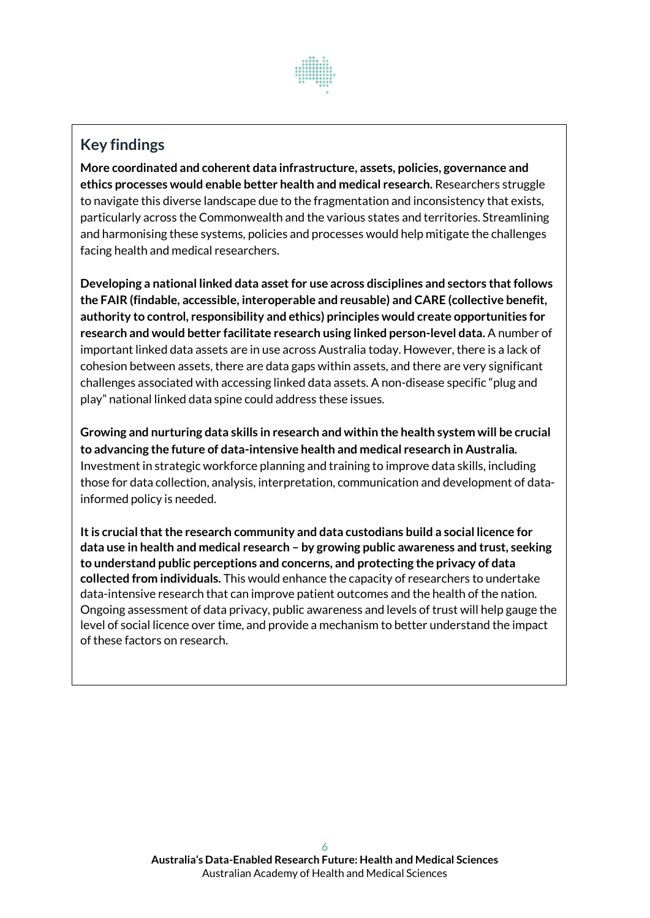

# **Key findings**

**More coordinated and coherent data infrastructure, assets, policies, governance and ethics processes would enable better health and medical research.** Researchers struggle to navigate this diverse landscape due to the fragmentation and inconsistency that exists, particularly across the Commonwealth and the various states and territories. Streamlining and harmonising these systems, policies and processes would help mitigate the challenges facing health and medical researchers.

**Developing a national linked data asset for use across disciplines and sectors that follows the FAIR (findable, accessible, interoperable and reusable) and CARE (collective benefit, authority to control, responsibility and ethics) principles would create opportunities for research and would better facilitate research using linked person-level data.** A number of important linked data assets are in use across Australia today. However, there is a lack of cohesion between assets, there are data gaps within assets, and there are very significant challenges associated with accessing linked data assets. A non-disease specific "plug and play" national linked data spine could address these issues.

**Growing and nurturing data skills in research and within the health system will be crucial to advancing the future of data-intensive health and medical research in Australia.**  Investment in strategic workforce planning and training to improve data skills, including those for data collection, analysis, interpretation, communication and development of datainformed policy is needed.

**It is crucial that the research community and data custodians build a social licence for data use in health and medical research – by growing public awareness and trust, seeking to understand public perceptions and concerns, and protecting the privacy of data collected from individuals.** This would enhance the capacity of researchers to undertake data-intensive research that can improve patient outcomes and the health of the nation. Ongoing assessment of data privacy, public awareness and levels of trust will help gauge the level of social licence over time, and provide a mechanism to better understand the impact of these factors on research.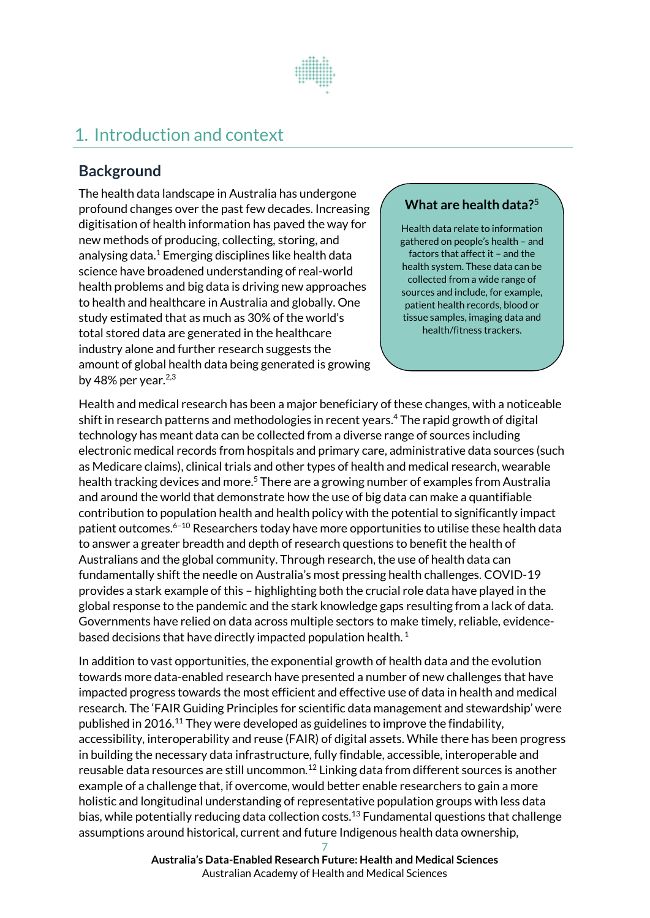

# <span id="page-6-0"></span>1. Introduction and context

# **Background**

The health data landscape in Australia has undergone profound changes over the past few decades. Increasing digitisation of health information has paved the way for new methods of producing, collecting, storing, and analysing data. <sup>1</sup> Emerging disciplines like health data science have broadened understanding of real-world health problems and big data is driving new approaches to health and healthcare in Australia and globally. One study estimated that as much as 30% of the world's total stored data are generated in the healthcare industry alone and further research suggests the amount of global health data being generated is growing by 48% per year.<sup>2,3</sup>

## **What are health data?** 5

Health data relate to information gathered on people's health – and factors that affect it – and the health system. These data can be collected from a wide range of sources and include, for example, patient health records, blood or tissue samples, imaging data and health/fitness trackers.

Health and medical research has been a major beneficiary ofthese changes, with a noticeable shift in research patterns and methodologies in recent years. <sup>4</sup> The rapid growth of digital technology has meant data can be collected from a diverse range of sources including electronic medical records from hospitals and primary care, administrative data sources (such as Medicare claims), clinical trials and other types of health and medical research, wearable health tracking devices and more.<sup>5</sup> There are a growing number of examples from Australia and around the world that demonstrate how the use of big data can make a quantifiable contribution to population health and health policy with the potential to significantly impact patient outcomes. <sup>6</sup>–<sup>10</sup> Researchers today have more opportunities to utilise these health data to answer a greater breadth and depth of research questions to benefit the health of Australians and the global community. Through research, the use of health data can fundamentally shift the needle on Australia's most pressing health challenges. COVID-19 provides a stark example of this – highlighting both the crucial role data have played in the global response to the pandemic and the stark knowledge gaps resulting from a lack of data. Governments have relied on data across multiple sectors to make timely, reliable, evidencebased decisions that have directly impacted population health. $<sup>1</sup>$ </sup>

In addition to vast opportunities, the exponential growth of health data and the evolution towards more data-enabled research have presented a number of new challenges that have impacted progress towards the most efficient and effective use of data in health and medical research. The 'FAIR Guiding Principles for scientific data management and stewardship' were published in 2016.<sup>11</sup> They were developed as guidelines to improve the findability, accessibility, interoperability and reuse (FAIR) of digital assets. While there has been progress in building the necessary data infrastructure, fully findable, accessible, interoperable and reusable data resources are still uncommon. <sup>12</sup> Linking data from different sources is another example of a challenge that, if overcome, would better enable researchers to gain a more holistic and longitudinal understanding of representative population groups with less data bias, while potentially reducing data collection costs.<sup>13</sup> Fundamental questions that challenge assumptions around historical, current and future Indigenous health data ownership,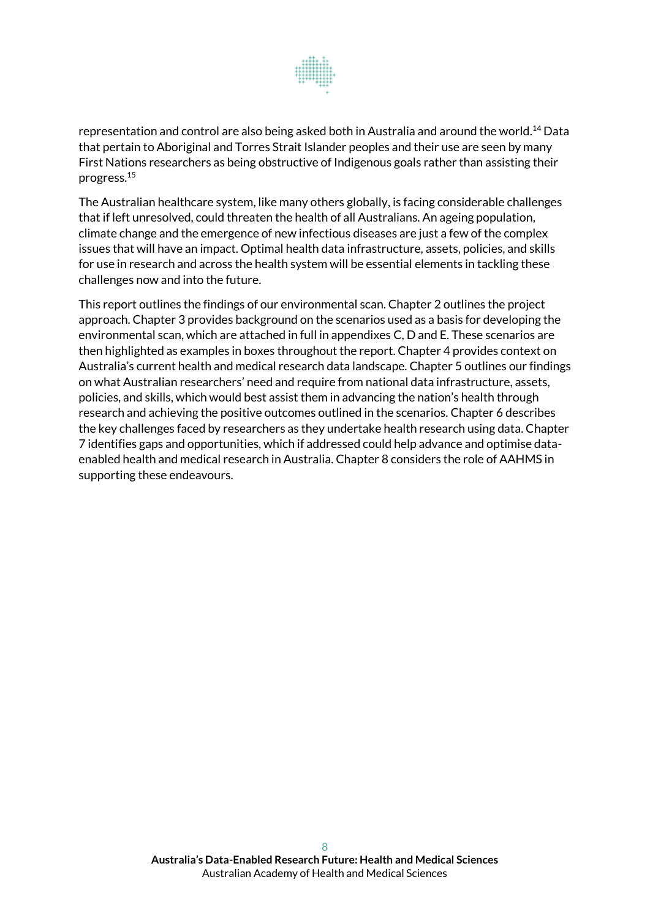

representation and control are also being asked both in Australia and around the world.<sup>14</sup> Data that pertain to Aboriginal and Torres Strait Islander peoples and their use are seen by many First Nations researchers as being obstructive of Indigenous goals rather than assisting their progress. 15

The Australian healthcare system, like many others globally, is facing considerable challenges that if left unresolved, could threaten the health of all Australians. An ageing population, climate change and the emergence of new infectious diseases are just a few of the complex issues that will have an impact. Optimal health data infrastructure, assets, policies, and skills for use in research and across the health system will be essential elements in tackling these challenges now and into the future.

This report outlines the findings of our environmental scan. Chapter 2 outlines the project approach. Chapter 3 provides background on the scenarios used as a basis for developing the environmental scan, which are attached in full in appendixes C, D and E. These scenarios are then highlighted as examples in boxes throughout the report. Chapter 4 provides context on Australia's current health and medical research data landscape. Chapter 5 outlines our findings on what Australian researchers' need and require from national data infrastructure, assets, policies, and skills, which would best assist them in advancing the nation's health through research and achieving the positive outcomes outlined in the scenarios. Chapter 6 describes the key challenges faced by researchers as they undertake health research using data. Chapter 7 identifies gaps and opportunities, which if addressed could help advance and optimise dataenabled health and medical research in Australia. Chapter 8 considers the role of AAHMS in supporting these endeavours.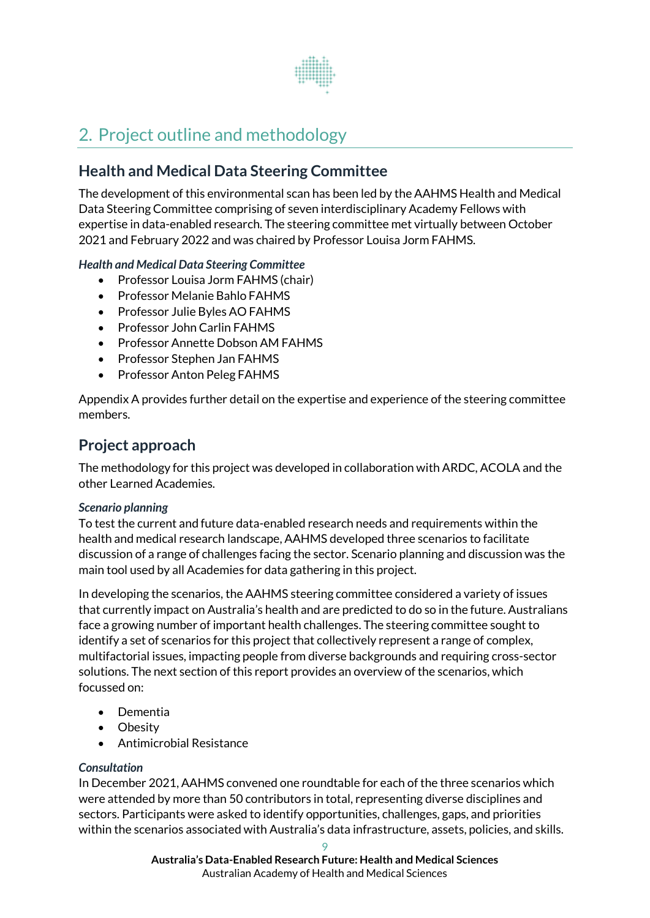

# <span id="page-8-0"></span>2. Project outline and methodology

# **Health and Medical Data Steering Committee**

The development of this environmental scan has been led by the AAHMS Health and Medical Data Steering Committee comprising of seven interdisciplinary Academy Fellows with expertise in data-enabled research. The steering committee met virtually between October 2021 and February 2022 and was chaired by Professor Louisa Jorm FAHMS.

#### *Health and Medical Data Steering Committee*

- Professor Louisa Jorm FAHMS (chair)
- Professor Melanie Bahlo FAHMS
- Professor Julie Byles AO FAHMS
- Professor John Carlin FAHMS
- Professor Annette Dobson AM FAHMS
- Professor Stephen Jan FAHMS
- Professor Anton Peleg FAHMS

Appendix A provides further detail on the expertise and experience of the steering committee members.

## **Project approach**

The methodology for this project was developed in collaboration with ARDC, ACOLA and the other Learned Academies.

#### *Scenario planning*

To test the current and future data-enabled research needs and requirements within the health and medical research landscape, AAHMS developed three scenarios to facilitate discussion of a range of challenges facing the sector. Scenario planning and discussion was the main tool used by all Academies for data gathering in this project.

In developing the scenarios, the AAHMS steering committee considered a variety of issues that currently impact on Australia's health and are predicted to do so in the future. Australians face a growing number of important health challenges. The steering committee sought to identify a set of scenarios for this project that collectively represent a range of complex, multifactorial issues, impacting people from diverse backgrounds and requiring cross-sector solutions. The next section of this report provides an overview of the scenarios, which focussed on:

- Dementia
- Obesity
- Antimicrobial Resistance

#### *Consultation*

In December 2021, AAHMS convened one roundtable for each of the three scenarios which were attended by more than 50 contributors in total, representing diverse disciplines and sectors. Participants were asked to identify opportunities, challenges, gaps, and priorities within the scenarios associated with Australia's data infrastructure, assets, policies, and skills.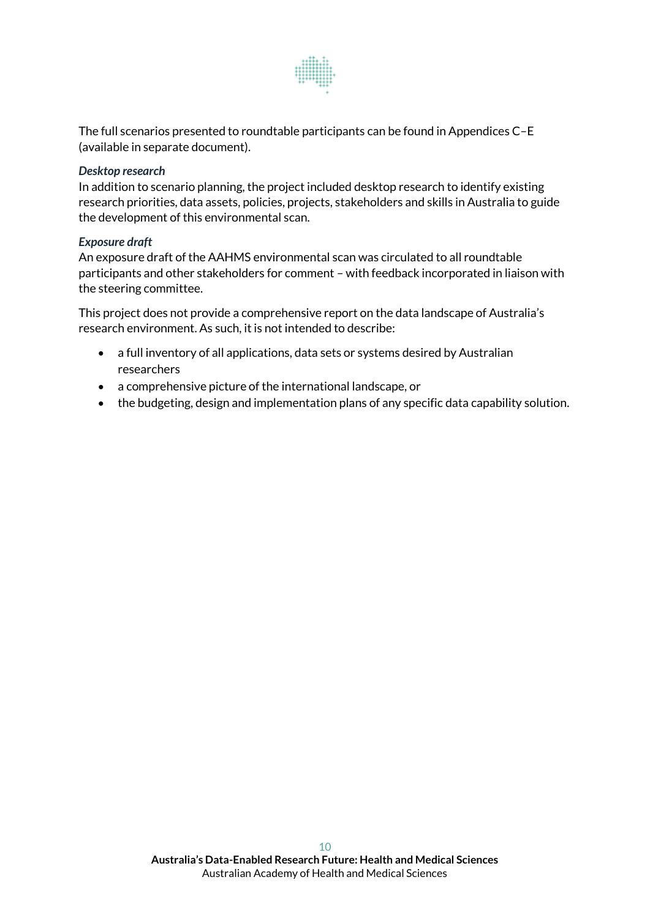

The full scenarios presented to roundtable participants can be found in Appendices C–E (available in separate document).

#### *Desktop research*

In addition to scenario planning, the project included desktop research to identify existing research priorities, data assets, policies, projects, stakeholders and skills in Australia to guide the development of this environmental scan.

#### *Exposure draft*

An exposure draft of the AAHMS environmental scan was circulated to all roundtable participants and other stakeholders for comment – with feedback incorporated in liaison with the steering committee.

This project does not provide a comprehensive report on the data landscape of Australia's research environment. As such, it is not intended to describe:

- a full inventory of all applications, data sets or systems desired by Australian researchers
- a comprehensive picture of the international landscape, or
- the budgeting, design and implementation plans of any specific data capability solution.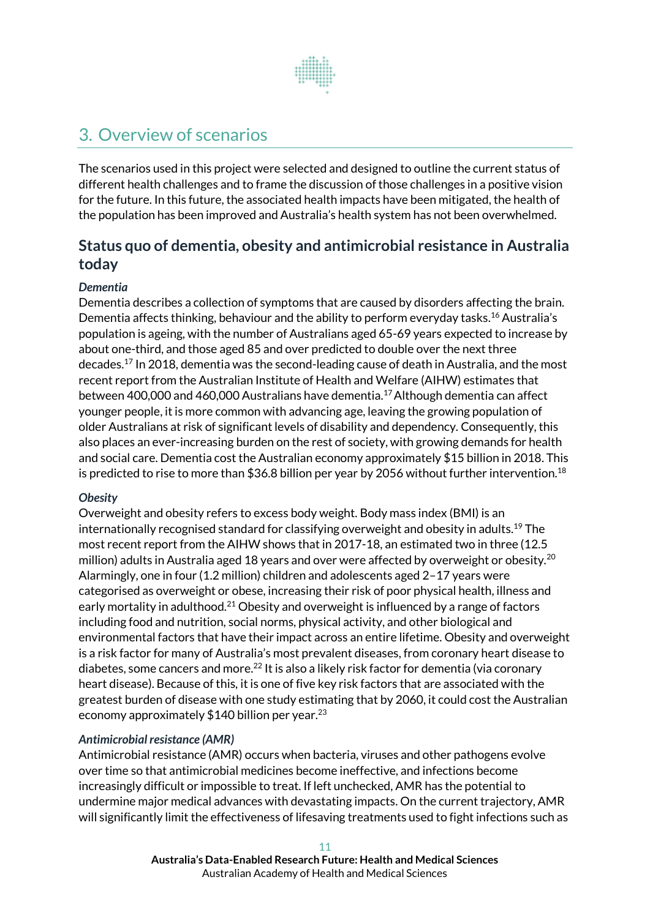

# <span id="page-10-0"></span>3. Overview of scenarios

The scenarios used in this project were selected and designed to outline the current status of different health challenges and to frame the discussion of those challenges in a positive vision for the future. In this future, the associated health impacts have been mitigated, the health of the population has been improved and Australia's health system has not been overwhelmed.

# **Status quo of dementia, obesity and antimicrobial resistance in Australia today**

#### *Dementia*

Dementia describes a collection of symptoms that are caused by disorders affecting the brain. Dementia affects thinking, behaviour and the ability to perform everyday tasks.<sup>16</sup> Australia's population is ageing, with the number of Australians aged 65-69 years expected to increase by about one-third, and those aged 85 and over predicted to double over the next three decades. <sup>17</sup> In 2018, dementia was the second-leading cause of death in Australia, and the most recent report from the Australian Institute of Health and Welfare (AIHW) estimates that between 400,000 and 460,000 Australians have dementia.<sup>17</sup>Although dementia can affect younger people, it is more common with advancing age, leaving the growing population of older Australians at risk of significant levels of disability and dependency. Consequently, this also places an ever-increasing burden on the rest of society, with growing demands for health and social care. Dementia cost the Australian economy approximately \$15 billion in 2018. This is predicted to rise to more than \$36.8 billion per year by 2056 without further intervention. $^{18}$ 

#### *Obesity*

Overweight and obesity refers to excess body weight. Body mass index (BMI) is an internationally recognised standard for classifying overweight and obesity in adults. <sup>19</sup> The most recent report from the AIHW shows that in 2017-18, an estimated two in three (12.5 million) adults in Australia aged 18 years and over were affected by overweight or obesity.<sup>20</sup> Alarmingly, one in four (1.2 million) children and adolescents aged 2–17 years were categorised as overweight or obese, increasing their risk of poor physical health, illness and early mortality in adulthood.<sup>21</sup> Obesity and overweight is influenced by a range of factors including food and nutrition, social norms, physical activity, and other biological and environmental factors that have their impact across an entire lifetime. Obesity and overweight is a risk factor for many of Australia's most prevalent diseases, from coronary heart disease to diabetes, some cancers and more.<sup>22</sup> It is also a likely risk factor for dementia (via coronary heart disease). Because of this, it is one of five key risk factors that are associated with the greatest burden of disease with one study estimating that by 2060, it could cost the Australian economy approximately \$140 billion per year.<sup>23</sup>

#### *Antimicrobial resistance (AMR)*

Antimicrobial resistance (AMR) occurs when bacteria, viruses and other pathogens evolve over time so that antimicrobial medicines become ineffective, and infections become increasingly difficult or impossible to treat. If left unchecked, AMR has the potential to undermine major medical advances with devastating impacts. On the current trajectory, AMR will significantly limit the effectiveness of lifesaving treatments used to fight infections such as

> **Australia's Data-Enabled Research Future: Health and Medical Sciences** Australian Academy of Health and Medical Sciences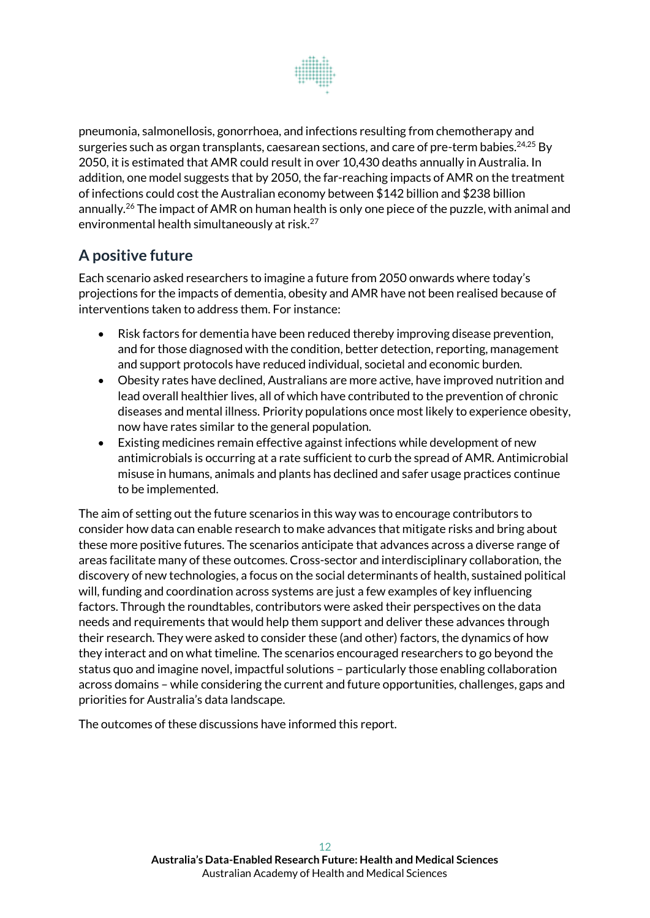

pneumonia, salmonellosis, gonorrhoea, and infections resulting from chemotherapy and surgeries such as organ transplants, caesarean sections, and care of pre-term babies.<sup>24,25</sup> By 2050, it is estimated that AMR could result in over 10,430 deaths annually in Australia. In addition, one model suggests that by 2050, the far-reaching impacts of AMR on the treatment of infections could cost the Australian economy between \$142 billion and \$238 billion annually.<sup>26</sup> The impact of AMR on human health is only one piece of the puzzle, with animal and environmental health simultaneously at risk.<sup>27</sup>

# **A positive future**

Each scenario asked researchers to imagine a future from 2050 onwards where today's projections for the impacts of dementia, obesity and AMR have not been realised because of interventions taken to address them. For instance:

- Risk factors for dementia have been reduced thereby improving disease prevention, and for those diagnosed with the condition, better detection, reporting, management and support protocols have reduced individual, societal and economic burden.
- Obesity rates have declined, Australians are more active, have improved nutrition and lead overall healthier lives, all of which have contributed to the prevention of chronic diseases and mental illness. Priority populations once most likely to experience obesity, now have rates similar to the general population.
- Existing medicines remain effective against infections while development of new antimicrobials is occurring at a rate sufficient to curb the spread of AMR. Antimicrobial misuse in humans, animals and plants has declined and safer usage practices continue to be implemented.

The aim of setting out the future scenarios in this way was to encourage contributors to consider how data can enable research to make advances that mitigate risks and bring about these more positive futures. The scenarios anticipate that advances across a diverse range of areas facilitate many of these outcomes. Cross-sector and interdisciplinary collaboration, the discovery of new technologies, a focus on the social determinants of health, sustained political will, funding and coordination across systems are just a few examples of key influencing factors. Through the roundtables, contributors were asked their perspectives on the data needs and requirements that would help them support and deliver these advances through their research. They were asked to consider these (and other) factors, the dynamics of how they interact and on what timeline. The scenarios encouraged researchers to go beyond the status quo and imagine novel, impactful solutions – particularly those enabling collaboration across domains – while considering the current and future opportunities, challenges, gaps and priorities for Australia's data landscape.

The outcomes of these discussions have informed this report.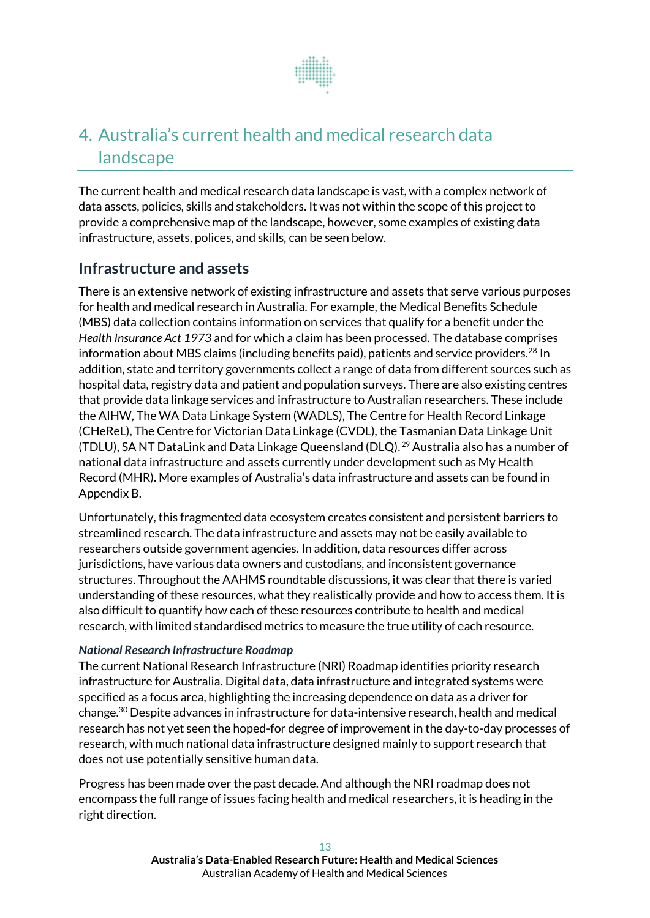

# <span id="page-12-0"></span>4. Australia's current health and medical research data landscape

The current health and medical research data landscape is vast, with a complex network of data assets, policies, skills and stakeholders. It was not within the scope of this project to provide a comprehensive map of the landscape, however, some examples of existing data infrastructure, assets, polices, and skills, can be seen below.

## **Infrastructure and assets**

There is an extensive network of existing infrastructure and assets that serve various purposes for health and medical research in Australia. For example, the Medical Benefits Schedule (MBS) data collection contains information on services that qualify for a benefit under the *Health Insurance Act 1973* and for which a claim has been processed. The database comprises information about MBS claims (including benefits paid), patients and service providers.<sup>28</sup> In addition, state and territory governments collect a range of data from different sources such as hospital data, registry data and patient and population surveys. There are also existing centres that provide data linkage services and infrastructure to Australian researchers. These include the AIHW, The WA Data Linkage System (WADLS), The Centre for Health Record Linkage (CHeReL), The Centre for Victorian Data Linkage (CVDL), the Tasmanian Data Linkage Unit (TDLU), SA NT DataLink and Data Linkage Queensland (DLQ). <sup>29</sup> Australia also has a number of national data infrastructure and assets currently under development such as My Health Record (MHR). More examples of Australia's data infrastructure and assets can be found in Appendix B.

Unfortunately, this fragmented data ecosystem creates consistent and persistent barriers to streamlined research. The data infrastructure and assets may not be easily available to researchers outside government agencies. In addition, data resources differ across jurisdictions, have various data owners and custodians, and inconsistent governance structures. Throughout the AAHMS roundtable discussions, it was clear that there is varied understanding of these resources, what they realistically provide and how to access them. It is also difficult to quantify how each of these resources contribute to health and medical research, with limited standardised metrics to measure the true utility of each resource.

#### *National Research Infrastructure Roadmap*

The current National Research Infrastructure (NRI) Roadmap identifies priority research infrastructure for Australia. Digital data, data infrastructure and integrated systems were specified as a focus area, highlighting the increasing dependence on data as a driver for change.<sup>30</sup> Despite advances in infrastructure for data-intensive research, health and medical research has not yet seen the hoped-for degree of improvementin the day-to-day processes of research, with much national data infrastructure designed mainly to support research that does not use potentially sensitive human data.

Progress has been made over the past decade. And although the NRI roadmap does not encompass the full range of issues facing health and medical researchers, it is heading in the right direction.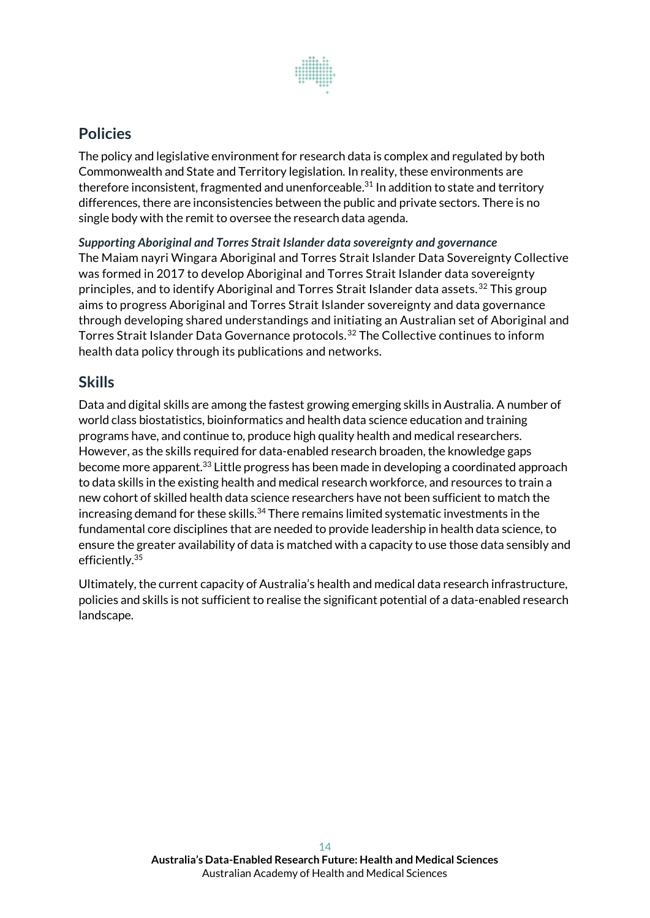

## **Policies**

The policy and legislative environment for research data is complex and regulated by both Commonwealth and State and Territory legislation. In reality, these environments are therefore inconsistent, fragmented and unenforceable. $^{31}$  In addition to state and territory differences, there are inconsistencies between the public and private sectors. There is no single body with the remit to oversee the research data agenda.

*Supporting Aboriginal and Torres Strait Islander data sovereignty and governance* The Maiam nayri Wingara Aboriginal and Torres Strait Islander Data Sovereignty Collective was formed in 2017 to develop Aboriginal and Torres Strait Islander data sovereignty principles, and to identify Aboriginal and Torres Strait Islander data assets.<sup>32</sup> This group aims to progress Aboriginal and Torres Strait Islander sovereignty and data governance through developing shared understandings and initiating an Australian set of Aboriginal and Torres Strait Islander Data Governance protocols.<sup>32</sup> The Collective continues to inform health data policy through its publications and networks.

## **Skills**

Data and digital skills are among the fastest growing emerging skills in Australia. A number of world class biostatistics, bioinformatics and health data science education and training programs have, and continue to, produce high quality health and medical researchers. However, as the skills required for data-enabled research broaden, the knowledge gaps become more apparent.<sup>33</sup> Little progress has been made in developing a coordinated approach to data skills in the existing health and medical research workforce, and resources to train a new cohort of skilled health data science researchers have not been sufficient to match the increasing demand for these skills.<sup>34</sup> There remains limited systematic investments in the fundamental core disciplines that are needed to provide leadership in health data science, to ensure the greater availability of data is matched with a capacity to use those data sensibly and efficiently.<sup>35</sup>

Ultimately, the current capacity of Australia's health and medical data research infrastructure, policies and skills is not sufficient to realise the significant potential of a data-enabled research landscape.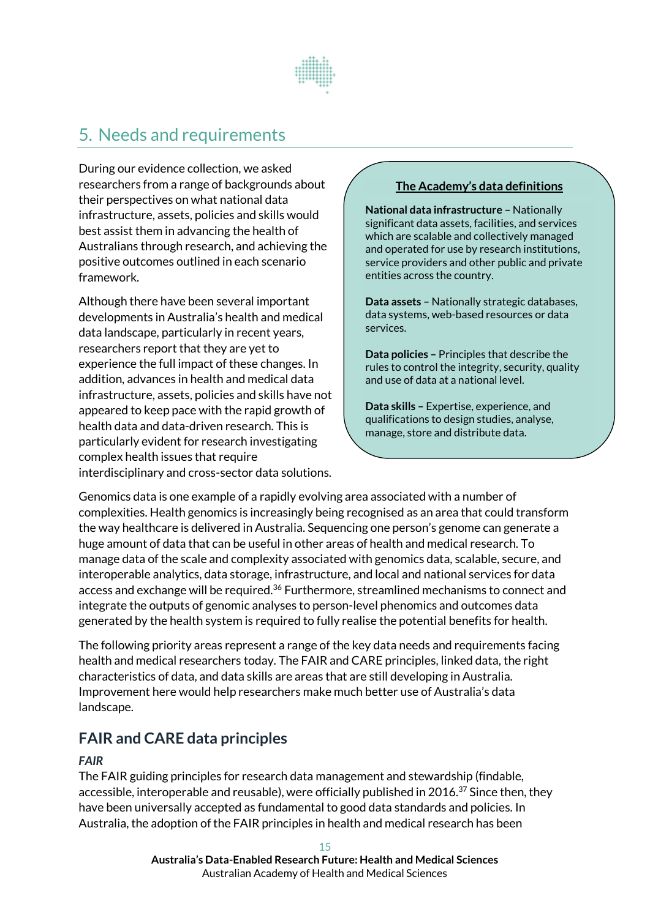

# <span id="page-14-0"></span>5. Needs and requirements

During our evidence collection, we asked researchers from a range of backgrounds about their perspectives on what national data infrastructure, assets, policies and skills would best assist them in advancing the health of Australians through research, and achieving the positive outcomes outlined in each scenario framework.

Although there have been several important developments in Australia's health and medical data landscape, particularly in recent years, researchers report that they are yet to experience the full impact of these changes. In addition, advances in health and medical data infrastructure, assets, policies and skills have not appeared to keep pace with the rapid growth of health data and data-driven research. This is particularly evident for research investigating complex health issues that require interdisciplinary and cross-sector data solutions.

#### **The Academy's data definitions**

**National data infrastructure –** Nationally significant data assets, facilities, and services which are scalable and collectively managed and operated for use by research institutions, service providers and other public and private entities across the country.

**Data assets –** Nationally strategic databases, data systems, web-based resources or data services.

**Data policies –** Principles that describe the rules to control the integrity, security, quality and use of data at a national level.

**Data skills –** Expertise, experience, and qualifications to design studies, analyse, manage, store and distribute data.

Genomics data is one example of a rapidly evolving area associated with a number of complexities. Health genomics is increasingly being recognised as an area that could transform the way healthcare is delivered in Australia. Sequencing one person's genome can generate a huge amount of data that can be useful in other areas of health and medical research. To manage data of the scale and complexity associated with genomics data, scalable, secure, and interoperable analytics, data storage, infrastructure, and local and national services for data access and exchange will be required.<sup>36</sup> Furthermore, streamlined mechanisms to connect and integrate the outputs of genomic analyses to person-level phenomics and outcomes data generated by the health system is required to fully realise the potential benefits for health.

The following priority areas represent a range of the key data needs and requirements facing health and medical researchers today. The FAIR and CARE principles, linked data, the right characteristics of data, and data skills are areas that are still developing in Australia. Improvement here would help researchers make much better use of Australia's data landscape.

# **FAIR and CARE data principles**

#### *FAIR*

The FAIR guiding principles for research data management and stewardship (findable, accessible, interoperable and reusable), were officially published in 2016.<sup>37</sup> Since then, they have been universally accepted as fundamental to good data standards and policies. In Australia, the adoption of the FAIR principles in health and medical research has been

> **Australia's Data-Enabled Research Future: Health and Medical Sciences** Australian Academy of Health and Medical Sciences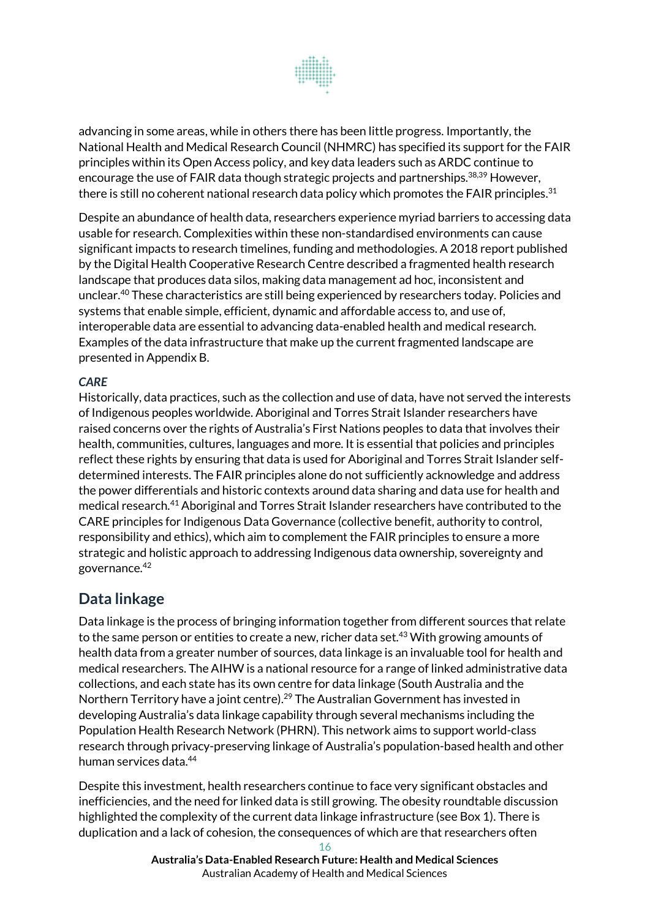

advancing in some areas, while in others there has been little progress. Importantly, the National Health and Medical Research Council (NHMRC) has specified its support for the FAIR principles within its Open Access policy, and key data leaders such as ARDC continue to encourage the use of FAIR data though strategic projects and partnerships.<sup>38,39</sup> However, there is still no coherent national research data policy which promotes the FAIR principles.<sup>31</sup>

Despite an abundance of health data, researchers experience myriad barriers to accessing data usable for research. Complexities within these non-standardised environments can cause significant impacts to research timelines, funding and methodologies. A 2018 report published by the Digital Health Cooperative Research Centre described a fragmented health research landscape that produces data silos, making data management ad hoc, inconsistent and unclear.<sup>40</sup> These characteristics are still being experienced by researchers today. Policies and systems that enable simple, efficient, dynamic and affordable access to, and use of, interoperable data are essential to advancing data-enabled health and medical research. Examples of the data infrastructure that make up the current fragmented landscape are presented in Appendix B.

#### *CARE*

Historically, data practices, such as the collection and use of data, have not served the interests of Indigenous peoples worldwide. Aboriginal and Torres Strait Islander researchers have raised concerns over the rights of Australia's First Nations peoples to data that involves their health, communities, cultures, languages and more. It is essential that policies and principles reflect these rights by ensuring that data is used for Aboriginal and Torres Strait Islander selfdetermined interests. The FAIR principles alone do not sufficiently acknowledge and address the power differentials and historic contexts around data sharing and data use for health and medical research.<sup>41</sup> Aboriginal and Torres Strait Islander researchers have contributed to the CARE principles for Indigenous Data Governance (collective benefit, authority to control, responsibility and ethics), which aim to complement the FAIR principles to ensure a more strategic and holistic approach to addressing Indigenous data ownership, sovereignty and governance.<sup>42</sup>

## **Data linkage**

Data linkage is the process of bringing information together from different sources that relate to the same person or entities to create a new, richer data set. <sup>43</sup> With growing amounts of health data from a greater number of sources, data linkage is an invaluable tool for health and medical researchers. The AIHW is a national resource for a range of linked administrative data collections, and each state has its own centre for data linkage (South Australia and the Northern Territory have a joint centre).<sup>29</sup> The Australian Government has invested in developing Australia's data linkage capability through several mechanisms including the Population Health Research Network (PHRN). This network aims to support world-class research through privacy-preserving linkage of Australia's population-based health and other human services data.<sup>44</sup>

Despite this investment, health researchers continue to face very significant obstacles and inefficiencies, and the need for linked data is still growing. The obesity roundtable discussion highlighted the complexity of the current data linkage infrastructure (see Box 1). There is duplication and a lack of cohesion, the consequences of which are that researchers often

> 16 **Australia's Data-Enabled Research Future: Health and Medical Sciences** Australian Academy of Health and Medical Sciences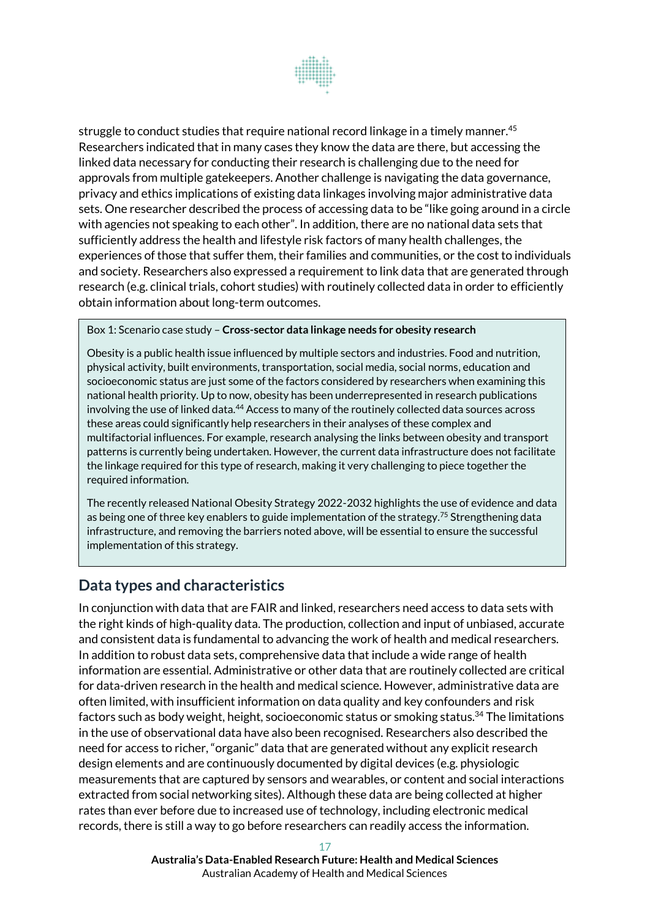

struggle to conduct studies that require national record linkage in a timely manner.<sup>45</sup> Researchers indicated that in many cases they know the data are there, but accessing the linked data necessary for conducting their research is challenging due to the need for approvals from multiple gatekeepers. Another challenge is navigating the data governance, privacy and ethics implications of existing data linkages involving major administrative data sets. One researcher described the process of accessing data to be "like going around in a circle with agencies not speaking to each other". In addition, there are no national data sets that sufficiently address the health and lifestyle risk factors of many health challenges, the experiences of those that suffer them, their families and communities, or the cost to individuals and society. Researchers also expressed a requirement to link data that are generated through research (e.g. clinical trials, cohort studies) with routinely collected data in order to efficiently obtain information about long-term outcomes.

Box 1: Scenario case study – **Cross-sector data linkage needs for obesity research**

Obesity is a public health issue influenced by multiple sectors and industries. Food and nutrition, physical activity, built environments, transportation, social media, social norms, education and socioeconomic status are just some of the factors considered by researchers when examining this national health priority. Up to now, obesity has been underrepresented in research publications involving the use of linked data.<sup>44</sup> Access to many of the routinely collected data sources across these areas could significantly help researchers in their analyses of these complex and multifactorial influences. For example, research analysing the links between obesity and transport patterns is currently being undertaken. However, the current data infrastructure does not facilitate the linkage required for this type of research, making it very challenging to piece together the required information.

The recently released National Obesity Strategy 2022-2032 highlights the use of evidence and data as being one of three key enablers to guide implementation of the strategy.<sup>75</sup> Strengthening data infrastructure, and removing the barriers noted above, will be essential to ensure the successful implementation of this strategy.

## **Data types and characteristics**

In conjunction with data that are FAIR and linked, researchers need access to data sets with the right kinds of high-quality data. The production, collection and input of unbiased, accurate and consistent data is fundamental to advancing the work of health and medical researchers. In addition to robust data sets, comprehensive data that include a wide range of health information are essential. Administrative or other data that are routinely collected are critical for data-driven research in the health and medical science. However, administrative data are often limited, with insufficient information on data quality and key confounders and risk factors such as body weight, height, socioeconomic status or smoking status.<sup>34</sup> The limitations in the use of observational data have also been recognised. Researchers also described the need for access to richer, "organic" data that are generated without any explicit research design elements and are continuously documented by digital devices (e.g. physiologic measurements that are captured by sensors and wearables, or content and social interactions extracted from social networking sites). Although these data are being collected at higher rates than ever before due to increased use of technology, including electronic medical records, there is still a way to go before researchers can readily access the information.

> **Australia's Data-Enabled Research Future: Health and Medical Sciences** Australian Academy of Health and Medical Sciences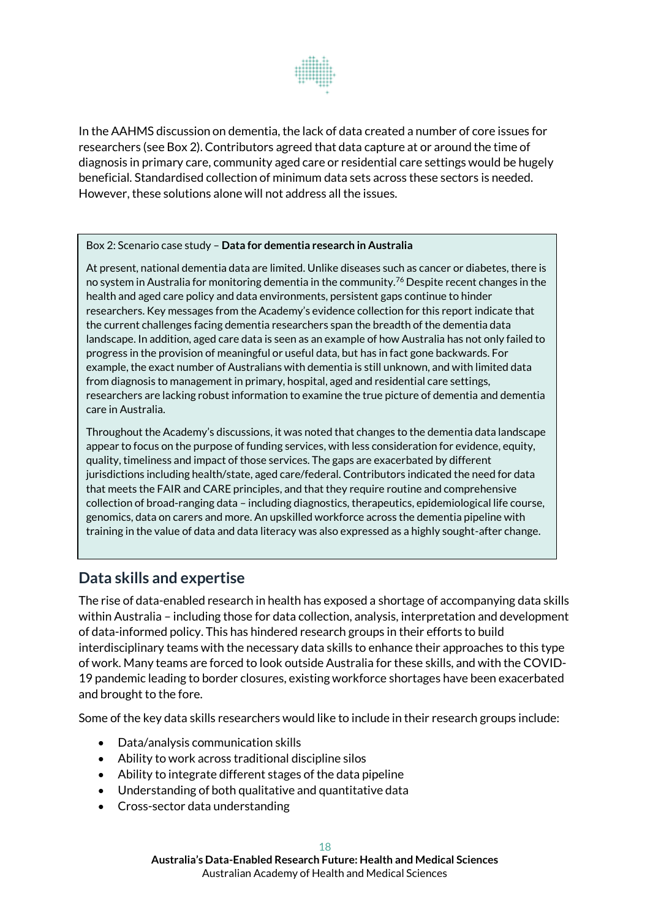

In the AAHMS discussion on dementia, the lack of data created a number of core issues for researchers (see Box 2). Contributors agreed that data capture at or around the time of diagnosis in primary care, community aged care or residential care settings would be hugely beneficial. Standardised collection of minimum data sets across these sectors is needed. However, these solutions alone will not address all the issues.

#### Box 2: Scenario case study – **Data for dementia research in Australia**

At present, national dementia data are limited. Unlike diseases such as cancer or diabetes, there is no system in Australia for monitoring dementia in the community.<sup>76</sup> Despite recent changes in the health and aged care policy and data environments, persistent gaps continue to hinder researchers. Key messages from the Academy's evidence collection for this report indicate that the current challenges facing dementia researchers span the breadth of the dementia data landscape. In addition, aged care data is seen as an example of how Australia has not only failed to progress in the provision of meaningful or useful data, but has in fact gone backwards. For example, the exact number of Australians with dementia is still unknown, and with limited data from diagnosis to management in primary, hospital, aged and residential care settings, researchers are lacking robust information to examine the true picture of dementia and dementia care in Australia.

Throughout the Academy's discussions, it was noted that changes to the dementia data landscape appear to focus on the purpose of funding services, with less consideration for evidence, equity, quality, timeliness and impact of those services. The gaps are exacerbated by different jurisdictions including health/state, aged care/federal. Contributors indicated the need for data that meets the FAIR and CARE principles, and that they require routine and comprehensive collection of broad-ranging data – including diagnostics, therapeutics, epidemiological life course, genomics, data on carers and more. An upskilled workforce across the dementia pipeline with training in the value of data and data literacy was also expressed as a highly sought-after change.

## **Data skills and expertise**

The rise of data-enabled research in health has exposed a shortage of accompanying data skills within Australia – including those for data collection, analysis, interpretation and development of data-informed policy. This has hindered research groups in their efforts to build interdisciplinary teams with the necessary data skills to enhance their approaches to this type of work. Many teams are forced to look outside Australia for these skills, and with the COVID-19 pandemic leading to border closures, existing workforce shortages have been exacerbated and brought to the fore.

Some of the key data skills researchers would like to include in their research groups include:

- Data/analysis communication skills
- Ability to work across traditional discipline silos
- Ability to integrate different stages of the data pipeline
- Understanding of both qualitative and quantitative data
- Cross-sector data understanding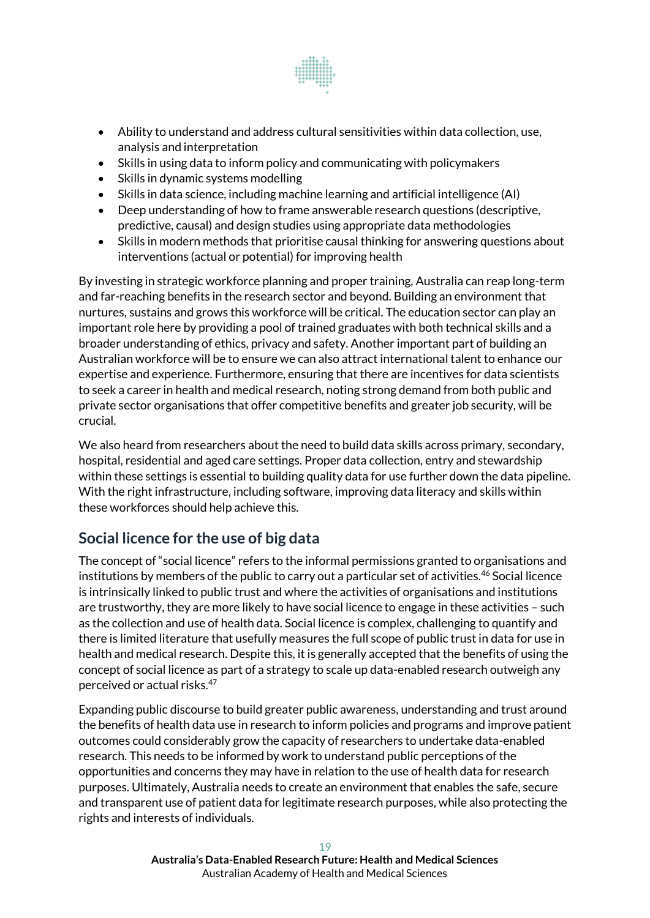

- Ability to understand and address cultural sensitivities within data collection, use, analysis and interpretation
- Skills in using data to inform policy and communicating with policymakers
- Skills in dynamic systems modelling
- Skills in data science, including machine learning and artificial intelligence (AI)
- Deep understanding of how to frame answerable research questions (descriptive, predictive, causal) and design studies using appropriate data methodologies
- Skills in modern methods that prioritise causal thinking for answering questions about interventions (actual or potential) for improving health

By investing in strategic workforce planning and proper training, Australia can reap long-term and far-reaching benefits in the research sector and beyond. Building an environment that nurtures, sustains and grows this workforce will be critical. The education sector can play an important role here by providing a pool of trained graduates with both technical skills and a broader understanding of ethics, privacy and safety. Another important part of building an Australian workforce will be to ensure we can also attract international talent to enhance our expertise and experience. Furthermore, ensuring that there are incentives for data scientists to seek a career in health and medical research, noting strong demand from both public and private sector organisations that offer competitive benefits and greater job security, will be crucial.

We also heard from researchers about the need to build data skills across primary, secondary, hospital, residential and aged care settings. Proper data collection, entry and stewardship within these settings is essential to building quality data for use further down the data pipeline. With the right infrastructure, including software, improving data literacy and skills within these workforces should help achieve this.

# **Social licence for the use of big data**

The concept of "social licence" refers to the informal permissions granted to organisations and institutions by members of the public to carry out a particular set of activities.<sup>46</sup> Social licence is intrinsically linked to public trust and where the activities of organisations and institutions are trustworthy, they are more likely to have social licence to engage in these activities – such as the collection and use of health data. Social licence is complex, challenging to quantify and there is limited literature that usefully measures the full scope of public trust in data for use in health and medical research. Despite this, it is generally accepted that the benefits of using the concept of social licence as part of a strategy to scale up data-enabled research outweigh any perceived or actual risks.<sup>47</sup>

Expanding public discourse to build greater public awareness, understanding and trust around the benefits of health data use in research to inform policies and programs and improve patient outcomes could considerably grow the capacity of researchers to undertake data-enabled research. This needs to be informed by work to understand public perceptions of the opportunities and concerns they may have in relation to the use of health data for research purposes. Ultimately, Australia needs to create an environment that enables the safe, secure and transparent use of patient data for legitimate research purposes, while also protecting the rights and interests of individuals.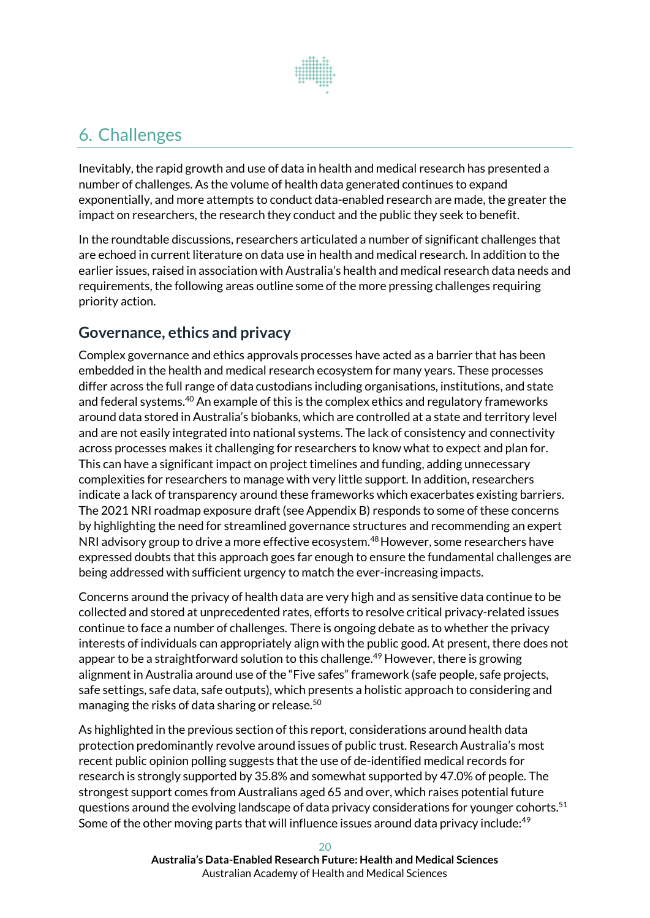

# <span id="page-19-0"></span>6. Challenges

Inevitably, the rapid growth and use of data in health and medical research has presented a number of challenges. As the volume of health data generated continues to expand exponentially, and more attempts to conduct data-enabled research are made, the greater the impact on researchers, the research they conduct and the public they seek to benefit.

In the roundtable discussions, researchers articulated a number of significant challenges that are echoed in current literature on data use in health and medical research. In addition to the earlier issues, raised in association with Australia's health and medical research data needs and requirements, the following areas outline some of the more pressing challenges requiring priority action.

# **Governance, ethics and privacy**

Complex governance and ethics approvals processes have acted as a barrier that has been embedded in the health and medical research ecosystem for many years. These processes differ across the full range of data custodians including organisations, institutions, and state and federal systems.<sup>40</sup> An example of this is the complex ethics and regulatory frameworks around data stored in Australia's biobanks, which are controlled at a state and territory level and are not easily integrated into national systems. The lack of consistency and connectivity across processes makes it challenging for researchers to know what to expect and plan for. This can have a significant impact on project timelines and funding, adding unnecessary complexities for researchers to manage with very little support. In addition, researchers indicate a lack of transparency around these frameworks which exacerbates existing barriers. The 2021 NRI roadmap exposure draft (see Appendix B) responds to some of these concerns by highlighting the need for streamlined governance structures and recommending an expert NRI advisory group to drive a more effective ecosystem.<sup>48</sup> However, some researchers have expressed doubts that this approach goes far enough to ensure the fundamental challenges are being addressed with sufficient urgency to match the ever-increasing impacts.

Concerns around the privacy of health data are very high and as sensitive data continue to be collected and stored at unprecedented rates, efforts to resolve critical privacy-related issues continue to face a number of challenges. There is ongoing debate as to whether the privacy interests of individuals can appropriately align with the public good. At present, there does not appear to be a straightforward solution to this challenge.<sup>49</sup> However, there is growing alignment in Australia around use of the "Five safes" framework (safe people, safe projects, safe settings, safe data, safe outputs), which presents a holistic approach to considering and managing the risks of data sharing or release.<sup>50</sup>

As highlighted in the previous section of this report, considerations around health data protection predominantly revolve around issues of public trust. Research Australia's most recent public opinion polling suggests that the use of de-identified medical records for research is strongly supported by 35.8% and somewhat supported by 47.0% of people. The strongest support comes from Australians aged 65 and over, which raises potential future questions around the evolving landscape of data privacy considerations for younger cohorts.<sup>51</sup> Some of the other moving parts that will influence issues around data privacy include:<sup>49</sup>

> **Australia's Data-Enabled Research Future: Health and Medical Sciences** Australian Academy of Health and Medical Sciences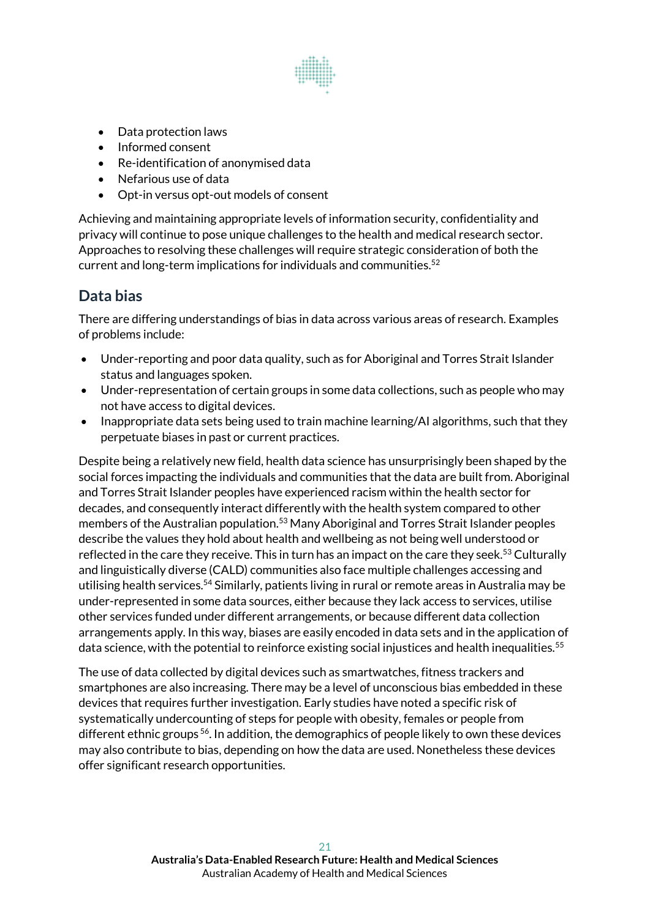

- Data protection laws
- Informed consent
- Re-identification of anonymised data
- Nefarious use of data
- Opt-in versus opt-out models of consent

Achieving and maintaining appropriate levels of information security, confidentiality and privacy will continue to pose unique challenges to the health and medical research sector. Approaches to resolving these challenges will require strategic consideration of both the current and long-term implications for individuals and communities. 52

# **Data bias**

There are differing understandings of bias in data across various areas of research. Examples of problems include:

- Under-reporting and poor data quality, such as for Aboriginal and Torres Strait Islander status and languages spoken.
- Under-representation of certain groups in some data collections, such as people who may not have access to digital devices.
- Inappropriate data sets being used to train machine learning/AI algorithms, such that they perpetuate biases in past or current practices.

Despite being a relatively new field, health data science has unsurprisingly been shaped by the social forces impacting the individuals and communities that the data are built from. Aboriginal and Torres Strait Islander peoples have experienced racism within the health sector for decades, and consequently interact differently with the health system compared to other members of the Australian population.<sup>53</sup> Many Aboriginal and Torres Strait Islander peoples describe the values they hold about health and wellbeing as not being well understood or reflected in the care they receive. This in turn has an impact on the care they seek.<sup>53</sup> Culturally and linguistically diverse (CALD) communities also face multiple challenges accessing and utilising health services.<sup>54</sup> Similarly, patients living in rural or remote areas in Australia may be under-represented in some data sources, either because they lack access to services, utilise other services funded under different arrangements, or because different data collection arrangements apply. In this way, biases are easily encoded in data sets and in the application of data science, with the potential to reinforce existing social injustices and health inequalities.<sup>55</sup>

The use of data collected by digital devices such as smartwatches, fitness trackers and smartphones are also increasing. There may be a level of unconscious bias embedded in these devices that requires further investigation. Early studies have noted a specific risk of systematically undercounting of steps for people with obesity, females or people from different ethnic groups<sup>56</sup>. In addition, the demographics of people likely to own these devices may also contribute to bias, depending on how the data are used. Nonetheless these devices offer significant research opportunities.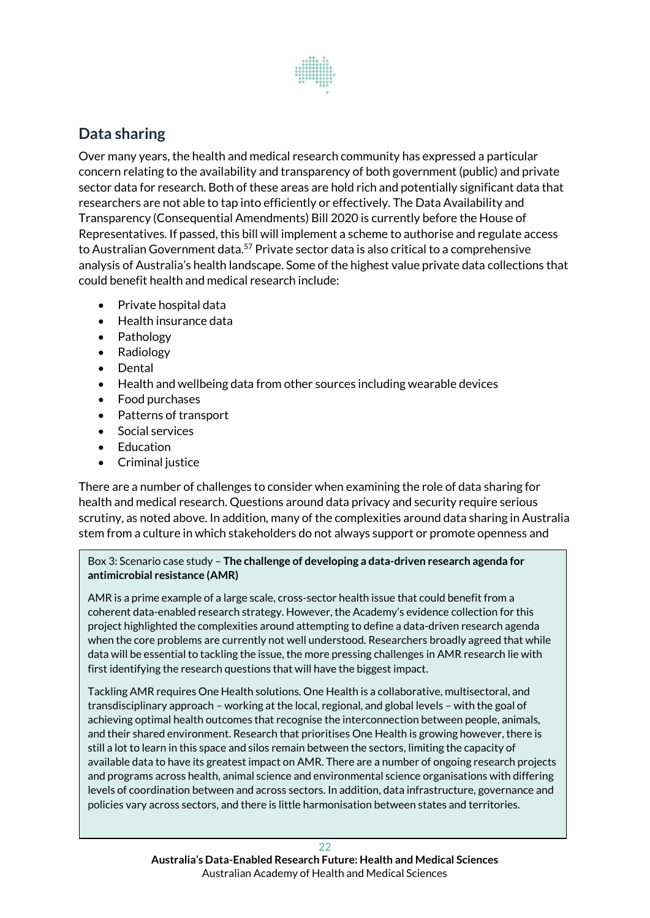

# **Data sharing**

Over many years, the health and medical research community has expressed a particular concern relating to the availability and transparency of both government (public) and private sector data for research. Both of these areas are hold rich and potentially significant data that researchers are not able to tap into efficiently or effectively. The Data Availability and Transparency (Consequential Amendments) Bill 2020 is currently before the House of Representatives. If passed, this bill will implement a scheme to authorise and regulate access to Australian Government data.<sup>57</sup> Private sector data is also critical to a comprehensive analysis of Australia's health landscape. Some of the highest value private data collections that could benefit health and medical research include:

- Private hospital data
- Health insurance data
- Pathology
- Radiology
- Dental
- Health and wellbeing data from other sources including wearable devices
- Food purchases
- Patterns of transport
- Social services
- Education
- Criminal justice

There are a number of challenges to consider when examining the role of data sharing for health and medical research. Questions around data privacy and security require serious scrutiny, as noted above. In addition, many of the complexities around data sharing in Australia stem from a culture in which stakeholders do not always support or promote openness and

#### Box 3: Scenario case study – **The challenge of developing a data-driven research agenda for antimicrobial resistance (AMR)**

AMR is a prime example of a large scale, cross-sector health issue that could benefit from a coherent data-enabled research strategy. However, the Academy's evidence collection for this project highlighted the complexities around attempting to define a data-driven research agenda when the core problems are currently not well understood. Researchers broadly agreed that while data will be essential to tackling the issue, the more pressing challenges in AMR research lie with first identifying the research questions that will have the biggest impact.

Tackling AMR requires One Health solutions. One Health is a collaborative, multisectoral, and transdisciplinary approach – working at the local, regional, and global levels – with the goal of achieving optimal health outcomes that recognise the interconnection between people, animals, and their shared environment. Research that prioritises One Health is growing however, there is still a lot to learn in this space and silos remain between the sectors, limiting the capacity of available data to have its greatest impact on AMR. There are a number of ongoing research projects and programs across health, animal science and environmental science organisations with differing levels of coordination between and across sectors. In addition, data infrastructure, governance and policies vary across sectors, and there is little harmonisation between states and territories.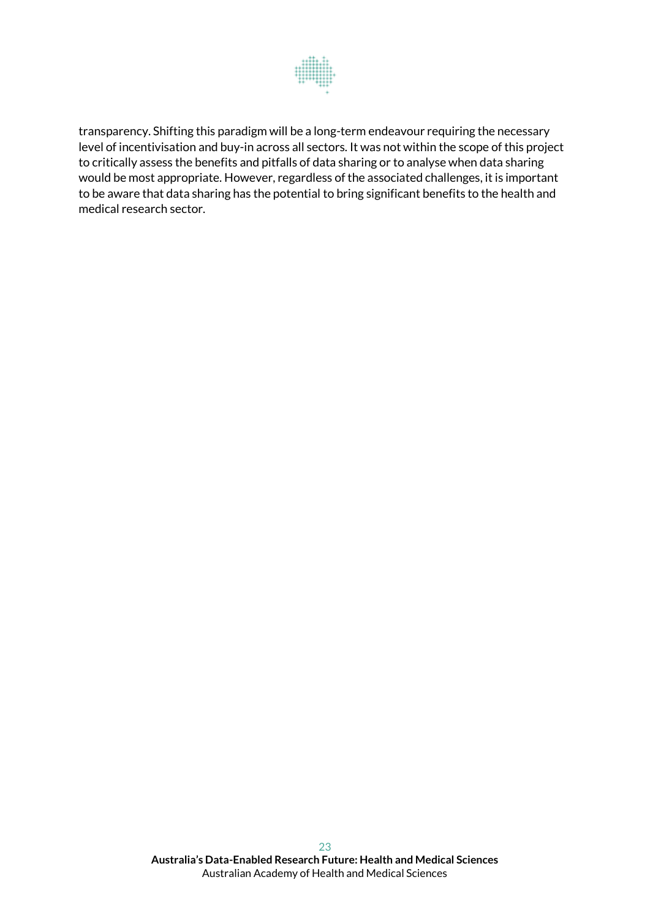

<span id="page-22-0"></span>transparency. Shifting this paradigm will be a long-term endeavour requiring the necessary level of incentivisation and buy-in across all sectors. It was not within the scope of this project to critically assess the benefits and pitfalls of data sharing or to analyse when data sharing would be most appropriate. However, regardless of the associated challenges, it is important to be aware that data sharing has the potential to bring significant benefits to the health and medical research sector.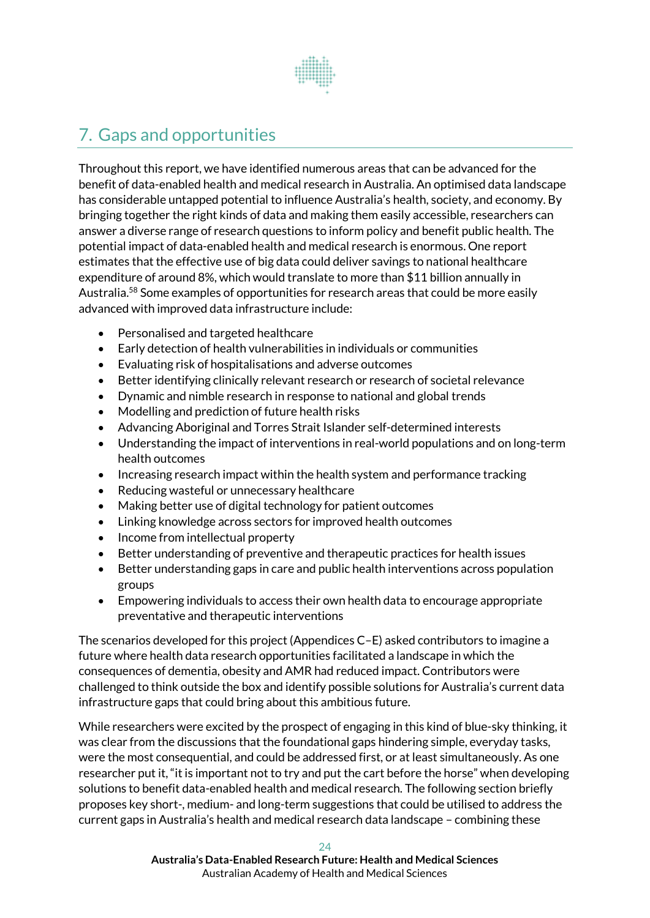

# 7. Gaps and opportunities

Throughout this report, we have identified numerous areas that can be advanced for the benefit of data-enabled health and medical research in Australia. An optimised data landscape has considerable untapped potential to influence Australia's health, society, and economy. By bringing together the right kinds of data and making them easily accessible, researchers can answer a diverse range of research questions to inform policy and benefit public health. The potential impact of data-enabled health and medical research is enormous. One report estimates that the effective use of big data could deliver savings to national healthcare expenditure of around 8%, which would translate to more than \$11 billion annually in Australia.<sup>58</sup> Some examples of opportunities for research areas that could be more easily advanced with improved data infrastructure include:

- Personalised and targeted healthcare
- Early detection of health vulnerabilities in individuals or communities
- Evaluating risk of hospitalisations and adverse outcomes
- Better identifying clinically relevant research or research of societal relevance
- Dynamic and nimble research in response to national and global trends
- Modelling and prediction of future health risks
- Advancing Aboriginal and Torres Strait Islander self-determined interests
- Understanding the impact of interventions in real-world populations and on long-term health outcomes
- Increasing research impact within the health system and performance tracking
- Reducing wasteful or unnecessary healthcare
- Making better use of digital technology for patient outcomes
- Linking knowledge across sectors for improved health outcomes
- Income from intellectual property
- Better understanding of preventive and therapeutic practices for health issues
- Better understanding gaps in care and public health interventions across population groups
- Empowering individuals to access their own health data to encourage appropriate preventative and therapeutic interventions

The scenarios developed for this project (Appendices C–E) asked contributors to imagine a future where health data research opportunities facilitated a landscape in which the consequences of dementia, obesity and AMR had reduced impact. Contributors were challenged to think outside the box and identify possible solutions for Australia's current data infrastructure gaps that could bring about this ambitious future.

While researchers were excited by the prospect of engaging in this kind of blue-sky thinking, it was clear from the discussions that the foundational gaps hindering simple, everyday tasks, were the most consequential, and could be addressed first, or at least simultaneously. As one researcher put it, "it is important not to try and put the cart before the horse" when developing solutions to benefit data-enabled health and medical research. The following section briefly proposes key short-, medium- and long-term suggestions that could be utilised to address the current gaps in Australia's health and medical research data landscape – combining these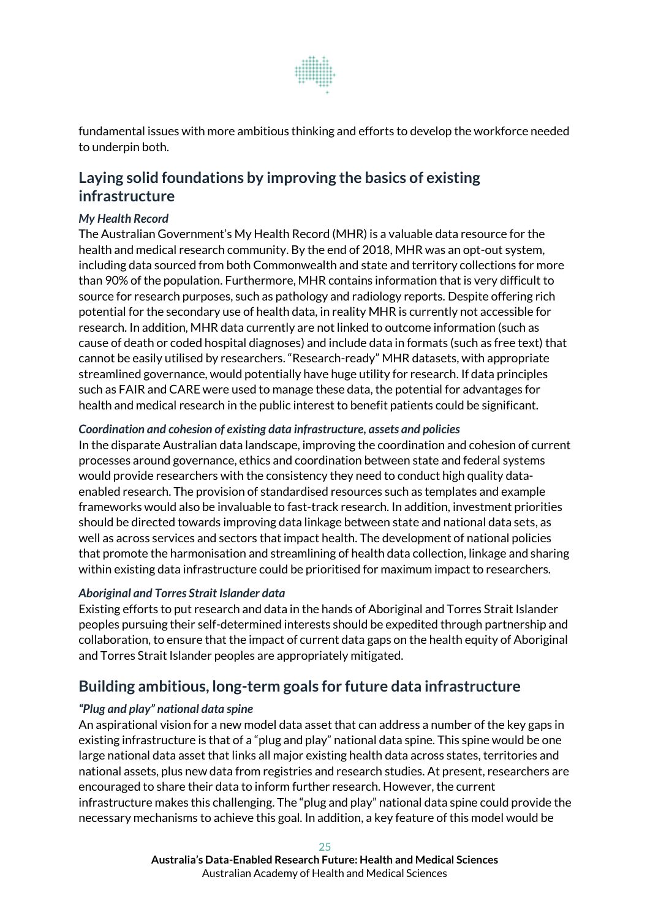

fundamental issues with more ambitious thinking and efforts to develop the workforce needed to underpin both.

## **Laying solid foundations by improving the basics of existing infrastructure**

#### *My Health Record*

The Australian Government's My Health Record (MHR) is a valuable data resource for the health and medical research community. By the end of 2018, MHR was an opt-out system, including data sourced from both Commonwealth and state and territory collections for more than 90% of the population. Furthermore, MHR contains information that is very difficult to source for research purposes, such as pathology and radiology reports. Despite offering rich potential for the secondary use of health data, in reality MHR is currently not accessible for research. In addition, MHR data currently are not linked to outcome information (such as cause of death or coded hospital diagnoses) and include data in formats (such as free text) that cannot be easily utilised by researchers. "Research-ready" MHR datasets, with appropriate streamlined governance, would potentially have huge utility for research. If data principles such as FAIR and CARE were used to manage these data, the potential for advantages for health and medical research in the public interest to benefit patients could be significant.

#### *Coordination and cohesion of existing data infrastructure, assets and policies*

In the disparate Australian data landscape, improving the coordination and cohesion of current processes around governance, ethics and coordination between state and federal systems would provide researchers with the consistency they need to conduct high quality dataenabled research. The provision of standardised resources such as templates and example frameworks would also be invaluable to fast-track research. In addition, investment priorities should be directed towards improving data linkage between state and national data sets, as well as across services and sectors that impact health. The development of national policies that promote the harmonisation and streamlining of health data collection, linkage and sharing within existing data infrastructure could be prioritised for maximum impact to researchers.

#### *Aboriginal and Torres Strait Islander data*

Existing efforts to put research and data in the hands of Aboriginal and Torres Strait Islander peoples pursuing their self-determined interests should be expedited through partnership and collaboration, to ensure that the impact of current data gaps on the health equity of Aboriginal and Torres Strait Islander peoples are appropriately mitigated.

## **Building ambitious, long-term goals for future data infrastructure**

#### *"Plug and play" national data spine*

An aspirational vision for a new model data asset that can address a number of the key gaps in existing infrastructure is that of a "plug and play" national data spine. This spine would be one large national data asset that links all major existing health data across states, territories and national assets, plus new data from registries and research studies. At present, researchers are encouraged to share their data to inform further research. However, the current infrastructure makes this challenging. The "plug and play" national data spine could provide the necessary mechanisms to achieve this goal. In addition, a key feature of this model would be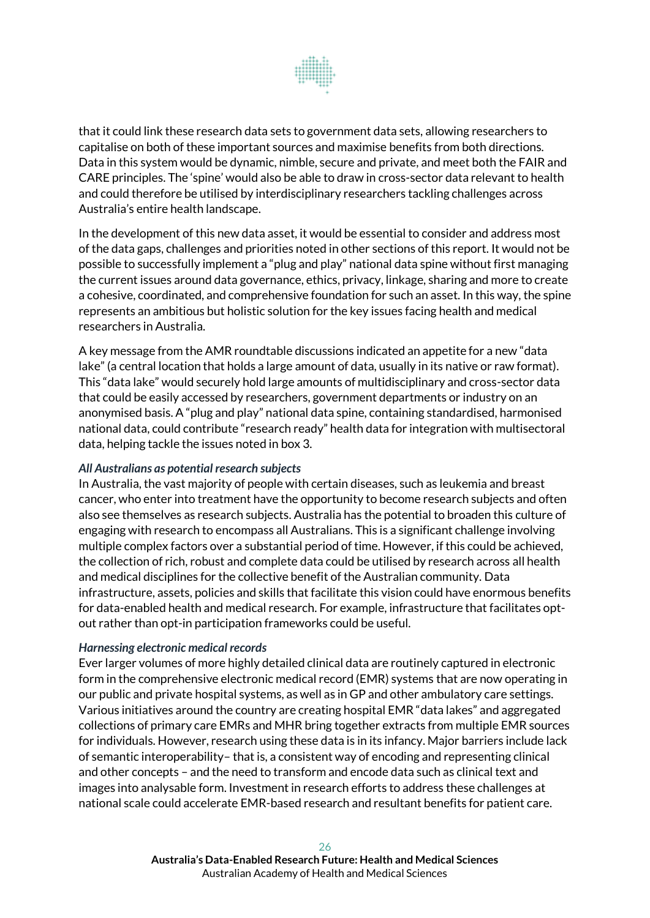

that it could link these research data sets to government data sets, allowing researchers to capitalise on both of these important sources and maximise benefits from both directions. Data in this system would be dynamic, nimble, secure and private, and meet both the FAIR and CARE principles. The 'spine' would also be able to draw in cross-sector data relevant to health and could therefore be utilised by interdisciplinary researchers tackling challenges across Australia's entire health landscape.

In the development of this new data asset, it would be essential to consider and address most of the data gaps, challenges and priorities noted in other sections of this report. It would not be possible to successfully implement a "plug and play" national data spine without first managing the current issues around data governance, ethics, privacy, linkage, sharing and more to create a cohesive, coordinated, and comprehensive foundation for such an asset. In this way, the spine represents an ambitious but holistic solution for the key issues facing health and medical researchers in Australia.

A key message from the AMR roundtable discussions indicated an appetite for a new "data lake" (a central location that holds a large amount of data, usually in its native or raw format). This "data lake" would securely hold large amounts of multidisciplinary and cross-sector data that could be easily accessed by researchers, government departments or industry on an anonymised basis. A "plug and play" national data spine, containing standardised, harmonised national data, could contribute "research ready" health data for integration with multisectoral data, helping tackle the issues noted in box 3.

#### *All Australians as potential research subjects*

In Australia, the vast majority of people with certain diseases, such as leukemia and breast cancer, who enter into treatment have the opportunity to become research subjects and often also see themselves as research subjects. Australia has the potential to broaden this culture of engaging with research to encompass all Australians. This is a significant challenge involving multiple complex factors over a substantial period of time. However, if this could be achieved, the collection of rich, robust and complete data could be utilised by research across all health and medical disciplines for the collective benefit of the Australian community. Data infrastructure, assets, policies and skills that facilitate this vision could have enormous benefits for data-enabled health and medical research. For example, infrastructure that facilitates optout rather than opt-in participation frameworks could be useful.

#### *Harnessing electronic medical records*

Ever larger volumes of more highly detailed clinical data are routinely captured in electronic form in the comprehensive electronic medical record (EMR) systems that are now operating in our public and private hospital systems, as well as in GP and other ambulatory care settings. Various initiatives around the country are creating hospital EMR "data lakes" and aggregated collections of primary care EMRs and MHR bring together extracts from multiple EMR sources for individuals. However, research using these data is in its infancy. Major barriers include lack of semantic interoperability– that is, a consistent way of encoding and representing clinical and other concepts – and the need to transform and encode data such as clinical text and images into analysable form. Investment in research efforts to address these challenges at national scale could accelerate EMR-based research and resultant benefits for patient care.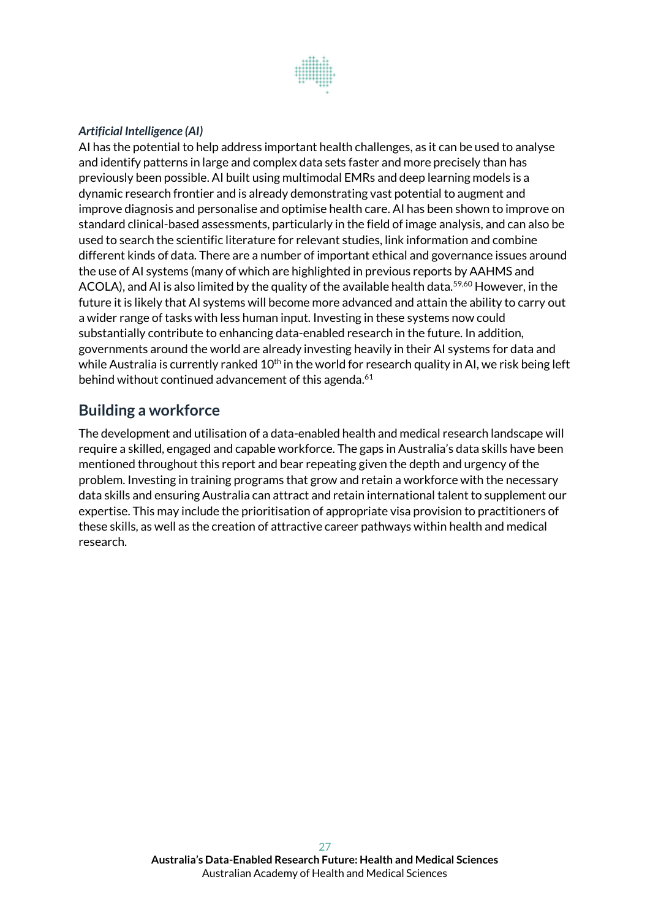

#### *Artificial Intelligence (AI)*

AI has the potential to help address important health challenges, as it can be used to analyse and identify patterns in large and complex data sets faster and more precisely than has previously been possible. AI built using multimodal EMRs and deep learning models is a dynamic research frontier and is already demonstrating vast potential to augment and improve diagnosis and personalise and optimise health care. AI has been shown to improve on standard clinical-based assessments, particularly in the field of image analysis, and can also be used to search the scientific literature for relevant studies, link information and combine different kinds of data. There are a number of important ethical and governance issues around the use of AI systems (many of which are highlighted in previous reports by AAHMS and ACOLA), and AI is also limited by the quality of the available health data.<sup>59,60</sup> However, in the future it is likely that AI systems will become more advanced and attain the ability to carry out a wider range of tasks with less human input. Investing in these systems now could substantially contribute to enhancing data-enabled research in the future. In addition, governments around the world are already investing heavily in their AI systems for data and while Australia is currently ranked  $10<sup>th</sup>$  in the world for research quality in AI, we risk being left behind without continued advancement of this agenda.<sup>61</sup>

## **Building a workforce**

<span id="page-26-0"></span>The development and utilisation of a data-enabled health and medical research landscape will require a skilled, engaged and capable workforce. The gaps in Australia's data skills have been mentioned throughout this report and bear repeating given the depth and urgency of the problem. Investing in training programs that grow and retain a workforce with the necessary data skills and ensuring Australia can attract and retain international talent to supplement our expertise. This may include the prioritisation of appropriate visa provision to practitioners of these skills, as well as the creation of attractive career pathways within health and medical research.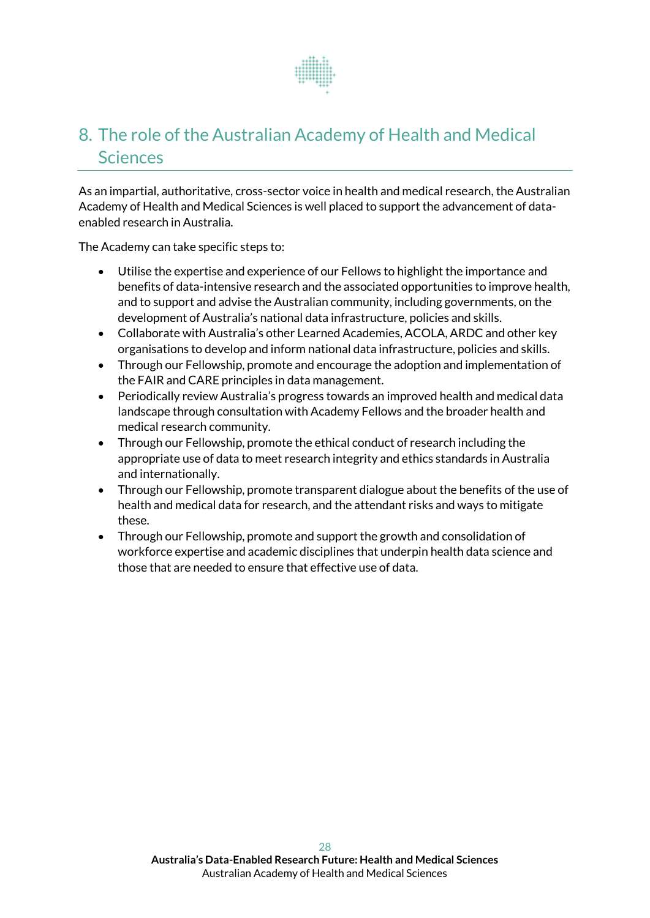

# 8. The role of the Australian Academy of Health and Medical Sciences

As an impartial, authoritative, cross-sector voice in health and medical research, the Australian Academy of Health and Medical Sciences is well placed to support the advancement of dataenabled research in Australia.

The Academy can take specific steps to:

- Utilise the expertise and experience of our Fellows to highlight the importance and benefits of data-intensive research and the associated opportunities to improve health, and to support and advise the Australian community, including governments, on the development of Australia's national data infrastructure, policies and skills.
- Collaborate with Australia's other Learned Academies, ACOLA, ARDC and other key organisations to develop and inform national data infrastructure, policies and skills.
- Through our Fellowship, promote and encourage the adoption and implementation of the FAIR and CARE principles in data management.
- Periodically review Australia's progress towards an improved health and medical data landscape through consultation with Academy Fellows and the broader health and medical research community.
- Through our Fellowship, promote the ethical conduct of research including the appropriate use of data to meet research integrity and ethics standards in Australia and internationally.
- Through our Fellowship, promote transparent dialogue about the benefits of the use of health and medical data for research, and the attendant risks and ways to mitigate these.
- Through our Fellowship, promote and support the growth and consolidation of workforce expertise and academic disciplines that underpin health data science and those that are needed to ensure that effective use of data.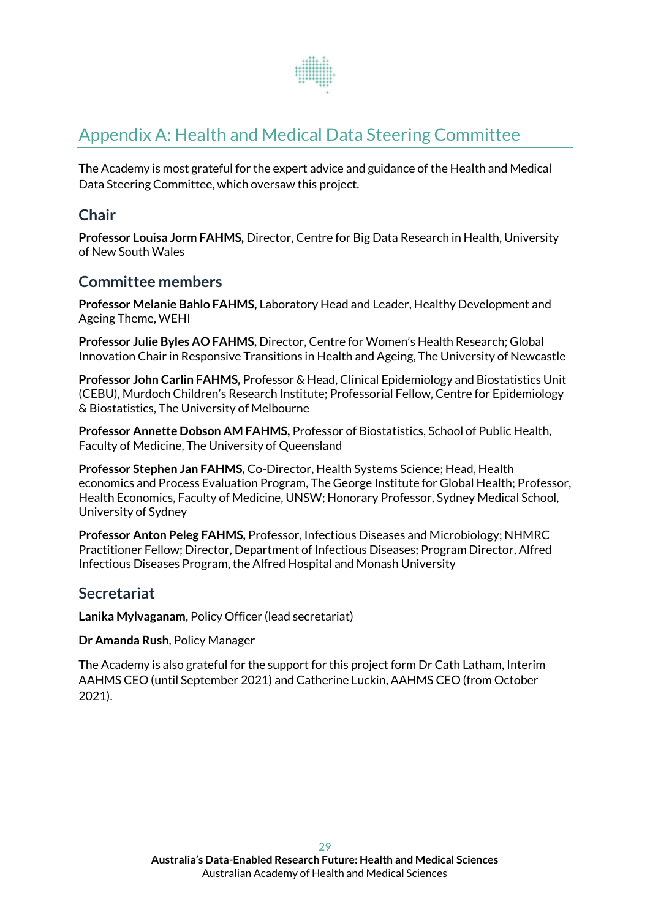

# <span id="page-28-0"></span>Appendix A: Health and Medical Data Steering Committee

The Academy is most grateful for the expert advice and guidance of the Health and Medical Data Steering Committee, which oversaw this project.

## **Chair**

**Professor Louisa Jorm FAHMS,** Director, Centre for Big Data Research in Health, University of New South Wales

## **Committee members**

**Professor Melanie Bahlo FAHMS,** Laboratory Head and Leader, Healthy Development and Ageing Theme, WEHI

**Professor Julie Byles AO FAHMS,** Director, Centre for Women's Health Research; Global Innovation Chair in Responsive Transitions in Health and Ageing, The University of Newcastle

**Professor John Carlin FAHMS,** Professor & Head, Clinical Epidemiology and Biostatistics Unit (CEBU), Murdoch Children's Research Institute; Professorial Fellow, Centre for Epidemiology & Biostatistics, The University of Melbourne

**Professor Annette Dobson AM FAHMS,** Professor of Biostatistics, School of Public Health, Faculty of Medicine, The University of Queensland

**Professor Stephen Jan FAHMS,** Co-Director, Health Systems Science; Head, Health economics and Process Evaluation Program, The George Institute for Global Health; Professor, Health Economics, Faculty of Medicine, UNSW; Honorary Professor, Sydney Medical School, University of Sydney

**Professor Anton Peleg FAHMS,** Professor, Infectious Diseases and Microbiology; NHMRC Practitioner Fellow; Director, Department of Infectious Diseases; Program Director, Alfred Infectious Diseases Program, the Alfred Hospital and Monash University

## **Secretariat**

**Lanika Mylvaganam**, Policy Officer (lead secretariat)

**Dr Amanda Rush**, Policy Manager

The Academy is also grateful for the support for this project form Dr Cath Latham, Interim AAHMS CEO (until September 2021) and Catherine Luckin, AAHMS CEO (from October 2021).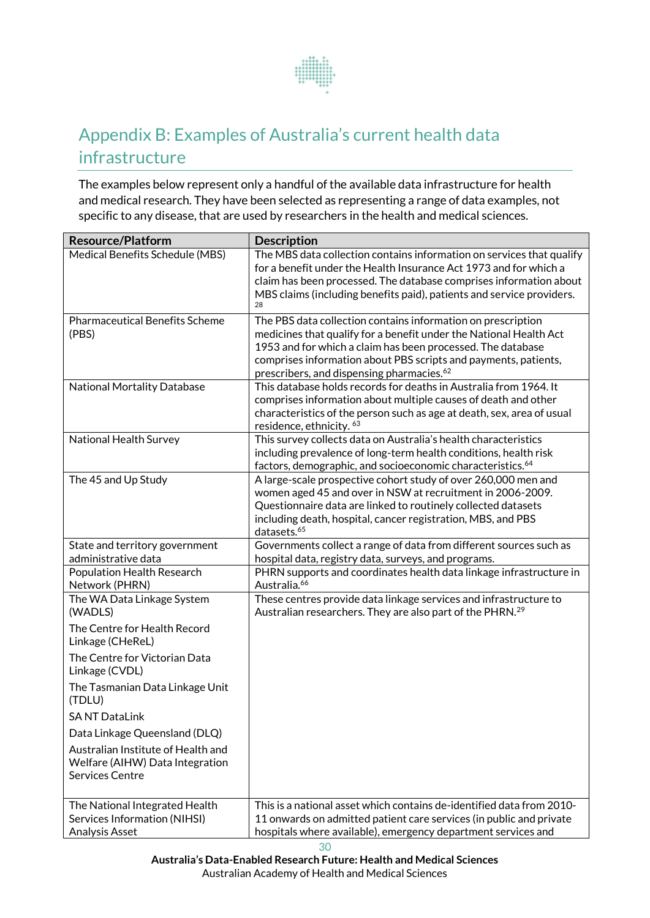

# Appendix B: Examples of Australia's current health data infrastructure

The examples below represent only a handful of the available data infrastructure for health and medical research. They have been selected as representing a range of data examples, not specific to any disease, that are used by researchers in the health and medical sciences.

| <b>Resource/Platform</b>                                                                 | <b>Description</b>                                                                                                                                                                                                                                                                                                            |
|------------------------------------------------------------------------------------------|-------------------------------------------------------------------------------------------------------------------------------------------------------------------------------------------------------------------------------------------------------------------------------------------------------------------------------|
| Medical Benefits Schedule (MBS)                                                          | The MBS data collection contains information on services that qualify<br>for a benefit under the Health Insurance Act 1973 and for which a<br>claim has been processed. The database comprises information about<br>MBS claims (including benefits paid), patients and service providers.<br>28                               |
| <b>Pharmaceutical Benefits Scheme</b><br>(PBS)                                           | The PBS data collection contains information on prescription<br>medicines that qualify for a benefit under the National Health Act<br>1953 and for which a claim has been processed. The database<br>comprises information about PBS scripts and payments, patients,<br>prescribers, and dispensing pharmacies. <sup>62</sup> |
| <b>National Mortality Database</b>                                                       | This database holds records for deaths in Australia from 1964. It<br>comprises information about multiple causes of death and other<br>characteristics of the person such as age at death, sex, area of usual<br>residence, ethnicity. 63                                                                                     |
| National Health Survey                                                                   | This survey collects data on Australia's health characteristics<br>including prevalence of long-term health conditions, health risk<br>factors, demographic, and socioeconomic characteristics. <sup>64</sup>                                                                                                                 |
| The 45 and Up Study                                                                      | A large-scale prospective cohort study of over 260,000 men and<br>women aged 45 and over in NSW at recruitment in 2006-2009.<br>Questionnaire data are linked to routinely collected datasets<br>including death, hospital, cancer registration, MBS, and PBS<br>datasets. <sup>65</sup>                                      |
| State and territory government<br>administrative data                                    | Governments collect a range of data from different sources such as                                                                                                                                                                                                                                                            |
| Population Health Research<br>Network (PHRN)                                             | hospital data, registry data, surveys, and programs.<br>PHRN supports and coordinates health data linkage infrastructure in<br>Australia. <sup>66</sup>                                                                                                                                                                       |
| The WA Data Linkage System<br>(WADLS)                                                    | These centres provide data linkage services and infrastructure to<br>Australian researchers. They are also part of the PHRN. <sup>29</sup>                                                                                                                                                                                    |
| The Centre for Health Record<br>Linkage (CHeReL)                                         |                                                                                                                                                                                                                                                                                                                               |
| The Centre for Victorian Data<br>Linkage (CVDL)                                          |                                                                                                                                                                                                                                                                                                                               |
| The Tasmanian Data Linkage Unit<br>(TDLU)                                                |                                                                                                                                                                                                                                                                                                                               |
| <b>SANT DataLink</b>                                                                     |                                                                                                                                                                                                                                                                                                                               |
| Data Linkage Queensland (DLQ)                                                            |                                                                                                                                                                                                                                                                                                                               |
| Australian Institute of Health and<br>Welfare (AIHW) Data Integration<br>Services Centre |                                                                                                                                                                                                                                                                                                                               |
| The National Integrated Health<br>Services Information (NIHSI)<br>Analysis Asset         | This is a national asset which contains de-identified data from 2010-<br>11 onwards on admitted patient care services (in public and private<br>hospitals where available), emergency department services and                                                                                                                 |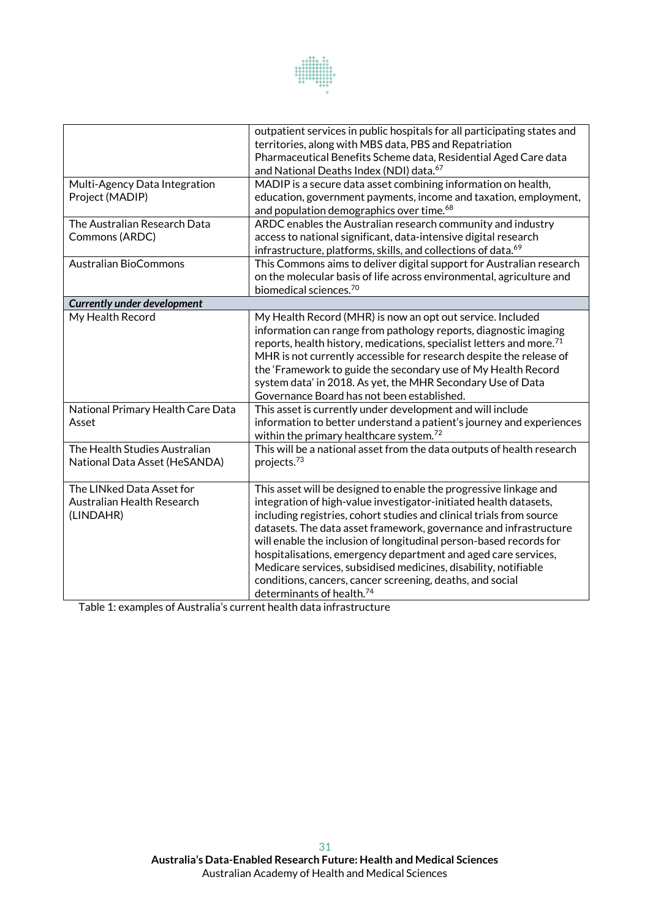

| Multi-Agency Data Integration<br>Project (MADIP)                     | outpatient services in public hospitals for all participating states and<br>territories, along with MBS data, PBS and Repatriation<br>Pharmaceutical Benefits Scheme data, Residential Aged Care data<br>and National Deaths Index (NDI) data. <sup>67</sup><br>MADIP is a secure data asset combining information on health,<br>education, government payments, income and taxation, employment,                                                                                                                                                                                                    |  |  |
|----------------------------------------------------------------------|------------------------------------------------------------------------------------------------------------------------------------------------------------------------------------------------------------------------------------------------------------------------------------------------------------------------------------------------------------------------------------------------------------------------------------------------------------------------------------------------------------------------------------------------------------------------------------------------------|--|--|
| The Australian Research Data<br>Commons (ARDC)                       | and population demographics over time. <sup>68</sup><br>ARDC enables the Australian research community and industry<br>access to national significant, data-intensive digital research<br>infrastructure, platforms, skills, and collections of data. <sup>69</sup>                                                                                                                                                                                                                                                                                                                                  |  |  |
| <b>Australian BioCommons</b>                                         | This Commons aims to deliver digital support for Australian research<br>on the molecular basis of life across environmental, agriculture and<br>biomedical sciences. <sup>70</sup>                                                                                                                                                                                                                                                                                                                                                                                                                   |  |  |
| <b>Currently under development</b>                                   |                                                                                                                                                                                                                                                                                                                                                                                                                                                                                                                                                                                                      |  |  |
| My Health Record                                                     | My Health Record (MHR) is now an opt out service. Included<br>information can range from pathology reports, diagnostic imaging<br>reports, health history, medications, specialist letters and more. <sup>71</sup><br>MHR is not currently accessible for research despite the release of<br>the 'Framework to guide the secondary use of My Health Record<br>system data' in 2018. As yet, the MHR Secondary Use of Data<br>Governance Board has not been established.                                                                                                                              |  |  |
| National Primary Health Care Data<br>Asset                           | This asset is currently under development and will include<br>information to better understand a patient's journey and experiences<br>within the primary healthcare system. <sup>72</sup>                                                                                                                                                                                                                                                                                                                                                                                                            |  |  |
| The Health Studies Australian<br>National Data Asset (HeSANDA)       | This will be a national asset from the data outputs of health research<br>projects. <sup>73</sup>                                                                                                                                                                                                                                                                                                                                                                                                                                                                                                    |  |  |
| The LINked Data Asset for<br>Australian Health Research<br>(LINDAHR) | This asset will be designed to enable the progressive linkage and<br>integration of high-value investigator-initiated health datasets,<br>including registries, cohort studies and clinical trials from source<br>datasets. The data asset framework, governance and infrastructure<br>will enable the inclusion of longitudinal person-based records for<br>hospitalisations, emergency department and aged care services,<br>Medicare services, subsidised medicines, disability, notifiable<br>conditions, cancers, cancer screening, deaths, and social<br>determinants of health. <sup>74</sup> |  |  |

Table 1: examples of Australia's current health data infrastructure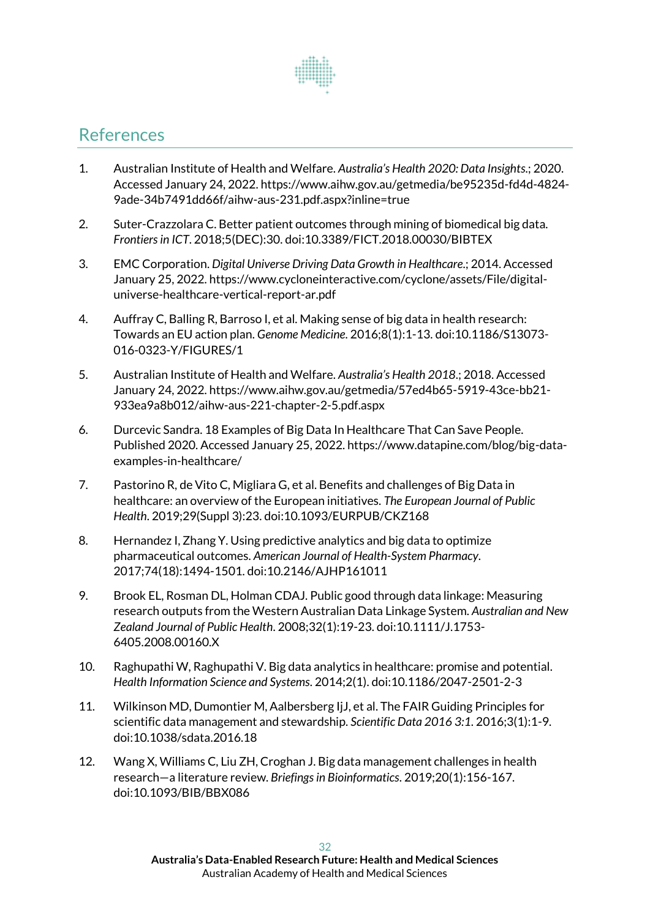

# <span id="page-31-0"></span>References

- 1. Australian Institute of Health and Welfare. *Australia's Health 2020: Data Insights*.; 2020. Accessed January 24, 2022. https://www.aihw.gov.au/getmedia/be95235d-fd4d-4824- 9ade-34b7491dd66f/aihw-aus-231.pdf.aspx?inline=true
- 2. Suter-Crazzolara C. Better patient outcomes through mining of biomedical big data. *Frontiers in ICT*. 2018;5(DEC):30. doi:10.3389/FICT.2018.00030/BIBTEX
- 3. EMC Corporation. *Digital Universe Driving Data Growth in Healthcare*.; 2014. Accessed January 25, 2022. https://www.cycloneinteractive.com/cyclone/assets/File/digitaluniverse-healthcare-vertical-report-ar.pdf
- 4. Auffray C, Balling R, Barroso I, et al. Making sense of big data in health research: Towards an EU action plan. *Genome Medicine*. 2016;8(1):1-13. doi:10.1186/S13073- 016-0323-Y/FIGURES/1
- 5. Australian Institute of Health and Welfare. *Australia's Health 2018*.; 2018. Accessed January 24, 2022. https://www.aihw.gov.au/getmedia/57ed4b65-5919-43ce-bb21- 933ea9a8b012/aihw-aus-221-chapter-2-5.pdf.aspx
- 6. Durcevic Sandra. 18 Examples of Big Data In Healthcare That Can Save People. Published 2020. Accessed January 25, 2022. https://www.datapine.com/blog/big-dataexamples-in-healthcare/
- 7. Pastorino R, de Vito C, Migliara G, et al. Benefits and challenges of Big Data in healthcare: an overview of the European initiatives. *The European Journal of Public Health*. 2019;29(Suppl 3):23. doi:10.1093/EURPUB/CKZ168
- 8. Hernandez I, Zhang Y. Using predictive analytics and big data to optimize pharmaceutical outcomes. *American Journal of Health-System Pharmacy*. 2017;74(18):1494-1501. doi:10.2146/AJHP161011
- 9. Brook EL, Rosman DL, Holman CDAJ. Public good through data linkage: Measuring research outputs from the Western Australian Data Linkage System. *Australian and New Zealand Journal of Public Health*. 2008;32(1):19-23. doi:10.1111/J.1753- 6405.2008.00160.X
- 10. Raghupathi W, Raghupathi V. Big data analytics in healthcare: promise and potential. *Health Information Science and Systems*. 2014;2(1). doi:10.1186/2047-2501-2-3
- 11. Wilkinson MD, Dumontier M, Aalbersberg IjJ, et al. The FAIR Guiding Principles for scientific data management and stewardship. *Scientific Data 2016 3:1*. 2016;3(1):1-9. doi:10.1038/sdata.2016.18
- 12. Wang X, Williams C, Liu ZH, Croghan J. Big data management challenges in health research—a literature review. *Briefings in Bioinformatics*. 2019;20(1):156-167. doi:10.1093/BIB/BBX086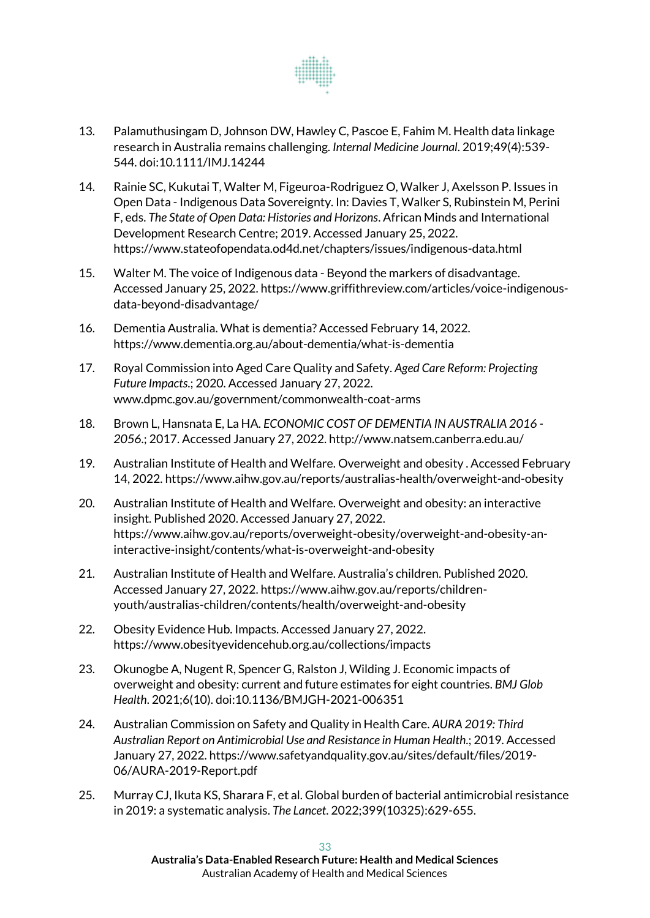

- 13. Palamuthusingam D, Johnson DW, Hawley C, Pascoe E, Fahim M. Health data linkage research in Australia remains challenging. *Internal Medicine Journal*. 2019;49(4):539- 544. doi:10.1111/IMJ.14244
- 14. Rainie SC, Kukutai T, Walter M, Figeuroa-Rodriguez O, Walker J, Axelsson P. Issues in Open Data - Indigenous Data Sovereignty. In: Davies T, Walker S, Rubinstein M, Perini F, eds. *The State of Open Data: Histories and Horizons*. African Minds and International Development Research Centre; 2019. Accessed January 25, 2022. https://www.stateofopendata.od4d.net/chapters/issues/indigenous-data.html
- 15. Walter M. The voice of Indigenous data Beyond the markers of disadvantage. Accessed January 25, 2022. https://www.griffithreview.com/articles/voice-indigenousdata-beyond-disadvantage/
- 16. Dementia Australia. What is dementia? Accessed February 14, 2022. https://www.dementia.org.au/about-dementia/what-is-dementia
- 17. Royal Commission into Aged Care Quality and Safety. *Aged Care Reform: Projecting Future Impacts*.; 2020. Accessed January 27, 2022. www.dpmc.gov.au/government/commonwealth-coat-arms
- 18. Brown L, Hansnata E, La HA. *ECONOMIC COST OF DEMENTIA IN AUSTRALIA 2016 - 2056*.; 2017. Accessed January 27, 2022. http://www.natsem.canberra.edu.au/
- 19. Australian Institute of Health and Welfare. Overweight and obesity . Accessed February 14, 2022. https://www.aihw.gov.au/reports/australias-health/overweight-and-obesity
- 20. Australian Institute of Health and Welfare. Overweight and obesity: an interactive insight. Published 2020. Accessed January 27, 2022. https://www.aihw.gov.au/reports/overweight-obesity/overweight-and-obesity-aninteractive-insight/contents/what-is-overweight-and-obesity
- 21. Australian Institute of Health and Welfare. Australia's children. Published 2020. Accessed January 27, 2022. https://www.aihw.gov.au/reports/childrenyouth/australias-children/contents/health/overweight-and-obesity
- 22. Obesity Evidence Hub. Impacts. Accessed January 27, 2022. https://www.obesityevidencehub.org.au/collections/impacts
- 23. Okunogbe A, Nugent R, Spencer G, Ralston J, Wilding J. Economic impacts of overweight and obesity: current and future estimates for eight countries. *BMJ Glob Health*. 2021;6(10). doi:10.1136/BMJGH-2021-006351
- 24. Australian Commission on Safety and Quality in Health Care. *AURA 2019: Third Australian Report on Antimicrobial Use and Resistance in Human Health*.; 2019. Accessed January 27, 2022. https://www.safetyandquality.gov.au/sites/default/files/2019- 06/AURA-2019-Report.pdf
- 25. Murray CJ, Ikuta KS, Sharara F, et al. Global burden of bacterial antimicrobial resistance in 2019: a systematic analysis. *The Lancet*. 2022;399(10325):629-655.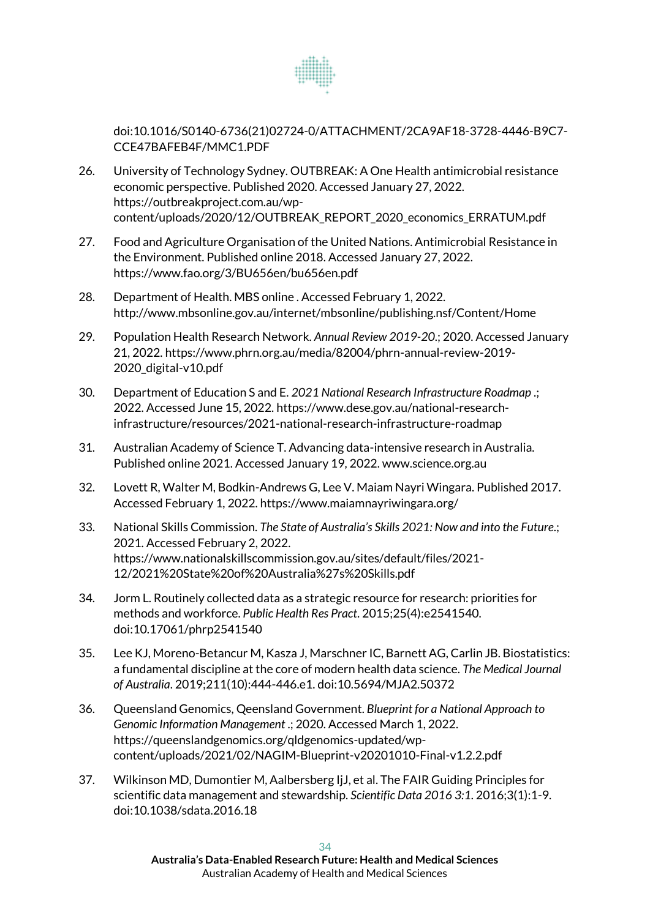

doi:10.1016/S0140-6736(21)02724-0/ATTACHMENT/2CA9AF18-3728-4446-B9C7- CCE47BAFEB4F/MMC1.PDF

- 26. University of Technology Sydney. OUTBREAK: A One Health antimicrobial resistance economic perspective. Published 2020. Accessed January 27, 2022. https://outbreakproject.com.au/wpcontent/uploads/2020/12/OUTBREAK\_REPORT\_2020\_economics\_ERRATUM.pdf
- 27. Food and Agriculture Organisation of the United Nations. Antimicrobial Resistance in the Environment. Published online 2018. Accessed January 27, 2022. https://www.fao.org/3/BU656en/bu656en.pdf
- 28. Department of Health. MBS online . Accessed February 1, 2022. http://www.mbsonline.gov.au/internet/mbsonline/publishing.nsf/Content/Home
- 29. Population Health Research Network. *Annual Review 2019-20*.; 2020. Accessed January 21, 2022. https://www.phrn.org.au/media/82004/phrn-annual-review-2019- 2020\_digital-v10.pdf
- 30. Department of Education S and E. *2021 National Research Infrastructure Roadmap* .; 2022. Accessed June 15, 2022. https://www.dese.gov.au/national-researchinfrastructure/resources/2021-national-research-infrastructure-roadmap
- 31. Australian Academy of Science T. Advancing data-intensive research in Australia. Published online 2021. Accessed January 19, 2022. www.science.org.au
- 32. Lovett R, Walter M, Bodkin-Andrews G, Lee V. Maiam Nayri Wingara. Published 2017. Accessed February 1, 2022. https://www.maiamnayriwingara.org/
- 33. National Skills Commission. *The State of Australia's Skills 2021: Now and into the Future*.; 2021. Accessed February 2, 2022. https://www.nationalskillscommission.gov.au/sites/default/files/2021- 12/2021%20State%20of%20Australia%27s%20Skills.pdf
- 34. Jorm L. Routinely collected data as a strategic resource for research: priorities for methods and workforce. *Public Health Res Pract*. 2015;25(4):e2541540. doi:10.17061/phrp2541540
- 35. Lee KJ, Moreno-Betancur M, Kasza J, Marschner IC, Barnett AG, Carlin JB. Biostatistics: a fundamental discipline at the core of modern health data science. *The Medical Journal of Australia*. 2019;211(10):444-446.e1. doi:10.5694/MJA2.50372
- 36. Queensland Genomics, Qeensland Government. *Blueprint for a National Approach to Genomic Information Management* .; 2020. Accessed March 1, 2022. https://queenslandgenomics.org/qldgenomics-updated/wpcontent/uploads/2021/02/NAGIM-Blueprint-v20201010-Final-v1.2.2.pdf
- 37. Wilkinson MD, Dumontier M, Aalbersberg IjJ, et al. The FAIR Guiding Principles for scientific data management and stewardship. *Scientific Data 2016 3:1*. 2016;3(1):1-9. doi:10.1038/sdata.2016.18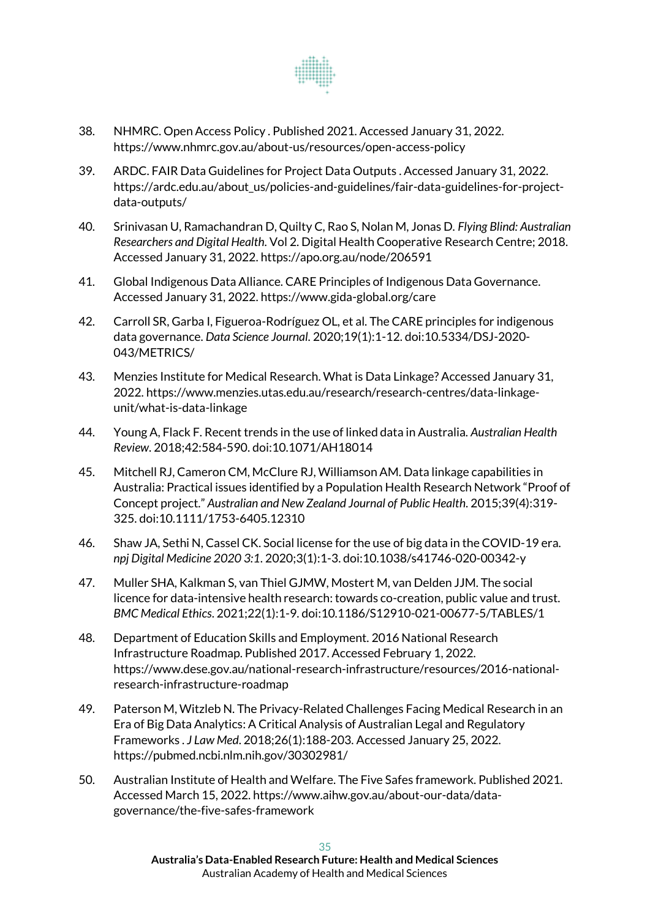

- 38. NHMRC. Open Access Policy . Published 2021. Accessed January 31, 2022. https://www.nhmrc.gov.au/about-us/resources/open-access-policy
- 39. ARDC. FAIR Data Guidelines for Project Data Outputs . Accessed January 31, 2022. https://ardc.edu.au/about\_us/policies-and-guidelines/fair-data-guidelines-for-projectdata-outputs/
- 40. Srinivasan U, Ramachandran D, Quilty C, Rao S, Nolan M, Jonas D. *Flying Blind: Australian Researchers and Digital Health*. Vol 2. Digital Health Cooperative Research Centre; 2018. Accessed January 31, 2022. https://apo.org.au/node/206591
- 41. Global Indigenous Data Alliance. CARE Principles of Indigenous Data Governance. Accessed January 31, 2022. https://www.gida-global.org/care
- 42. Carroll SR, Garba I, Figueroa-Rodríguez OL, et al. The CARE principles for indigenous data governance. *Data Science Journal*. 2020;19(1):1-12. doi:10.5334/DSJ-2020- 043/METRICS/
- 43. Menzies Institute for Medical Research. What is Data Linkage? Accessed January 31, 2022. https://www.menzies.utas.edu.au/research/research-centres/data-linkageunit/what-is-data-linkage
- 44. Young A, Flack F. Recent trends in the use of linked data in Australia. *Australian Health Review*. 2018;42:584-590. doi:10.1071/AH18014
- 45. Mitchell RJ, Cameron CM, McClure RJ, Williamson AM. Data linkage capabilities in Australia: Practical issues identified by a Population Health Research Network "Proof of Concept project." *Australian and New Zealand Journal of Public Health*. 2015;39(4):319- 325. doi:10.1111/1753-6405.12310
- 46. Shaw JA, Sethi N, Cassel CK. Social license for the use of big data in the COVID-19 era. *npj Digital Medicine 2020 3:1*. 2020;3(1):1-3. doi:10.1038/s41746-020-00342-y
- 47. Muller SHA, Kalkman S, van Thiel GJMW, Mostert M, van Delden JJM. The social licence for data-intensive health research: towards co-creation, public value and trust. *BMC Medical Ethics*. 2021;22(1):1-9. doi:10.1186/S12910-021-00677-5/TABLES/1
- 48. Department of Education Skills and Employment. 2016 National Research Infrastructure Roadmap. Published 2017. Accessed February 1, 2022. https://www.dese.gov.au/national-research-infrastructure/resources/2016-nationalresearch-infrastructure-roadmap
- 49. Paterson M, Witzleb N. The Privacy-Related Challenges Facing Medical Research in an Era of Big Data Analytics: A Critical Analysis of Australian Legal and Regulatory Frameworks . *J Law Med*. 2018;26(1):188-203. Accessed January 25, 2022. https://pubmed.ncbi.nlm.nih.gov/30302981/
- 50. Australian Institute of Health and Welfare. The Five Safes framework. Published 2021. Accessed March 15, 2022. https://www.aihw.gov.au/about-our-data/datagovernance/the-five-safes-framework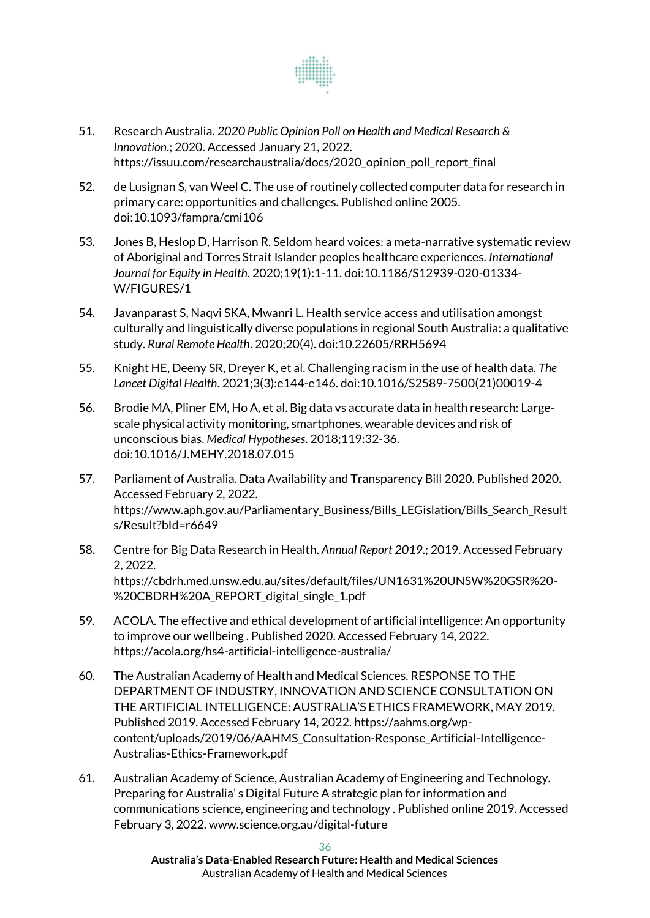

- 51. Research Australia. *2020 Public Opinion Poll on Health and Medical Research & Innovation*.; 2020. Accessed January 21, 2022. https://issuu.com/researchaustralia/docs/2020\_opinion\_poll\_report\_final
- 52. de Lusignan S, van Weel C. The use of routinely collected computer data for research in primary care: opportunities and challenges. Published online 2005. doi:10.1093/fampra/cmi106
- 53. Jones B, Heslop D, Harrison R. Seldom heard voices: a meta-narrative systematic review of Aboriginal and Torres Strait Islander peoples healthcare experiences. *International Journal for Equity in Health*. 2020;19(1):1-11. doi:10.1186/S12939-020-01334- W/FIGURES/1
- 54. Javanparast S, Naqvi SKA, Mwanri L. Health service access and utilisation amongst culturally and linguistically diverse populations in regional South Australia: a qualitative study. *Rural Remote Health*. 2020;20(4). doi:10.22605/RRH5694
- 55. Knight HE, Deeny SR, Dreyer K, et al. Challenging racism in the use of health data. *The Lancet Digital Health*. 2021;3(3):e144-e146. doi:10.1016/S2589-7500(21)00019-4
- 56. Brodie MA, Pliner EM, Ho A, et al. Big data vs accurate data in health research: Largescale physical activity monitoring, smartphones, wearable devices and risk of unconscious bias. *Medical Hypotheses*. 2018;119:32-36. doi:10.1016/J.MEHY.2018.07.015
- 57. Parliament of Australia. Data Availability and Transparency Bill 2020. Published 2020. Accessed February 2, 2022. https://www.aph.gov.au/Parliamentary\_Business/Bills\_LEGislation/Bills\_Search\_Result s/Result?bId=r6649
- 58. Centre for Big Data Research in Health. *Annual Report 2019*.; 2019. Accessed February 2, 2022. https://cbdrh.med.unsw.edu.au/sites/default/files/UN1631%20UNSW%20GSR%20- %20CBDRH%20A\_REPORT\_digital\_single\_1.pdf
- 59. ACOLA. The effective and ethical development of artificial intelligence: An opportunity to improve our wellbeing . Published 2020. Accessed February 14, 2022. https://acola.org/hs4-artificial-intelligence-australia/
- 60. The Australian Academy of Health and Medical Sciences. RESPONSE TO THE DEPARTMENT OF INDUSTRY, INNOVATION AND SCIENCE CONSULTATION ON THE ARTIFICIAL INTELLIGENCE: AUSTRALIA'S ETHICS FRAMEWORK, MAY 2019. Published 2019. Accessed February 14, 2022. https://aahms.org/wpcontent/uploads/2019/06/AAHMS\_Consultation-Response\_Artificial-Intelligence-Australias-Ethics-Framework.pdf
- 61. Australian Academy of Science, Australian Academy of Engineering and Technology. Preparing for Australia' s Digital Future A strategic plan for information and communications science, engineering and technology . Published online 2019. Accessed February 3, 2022. www.science.org.au/digital-future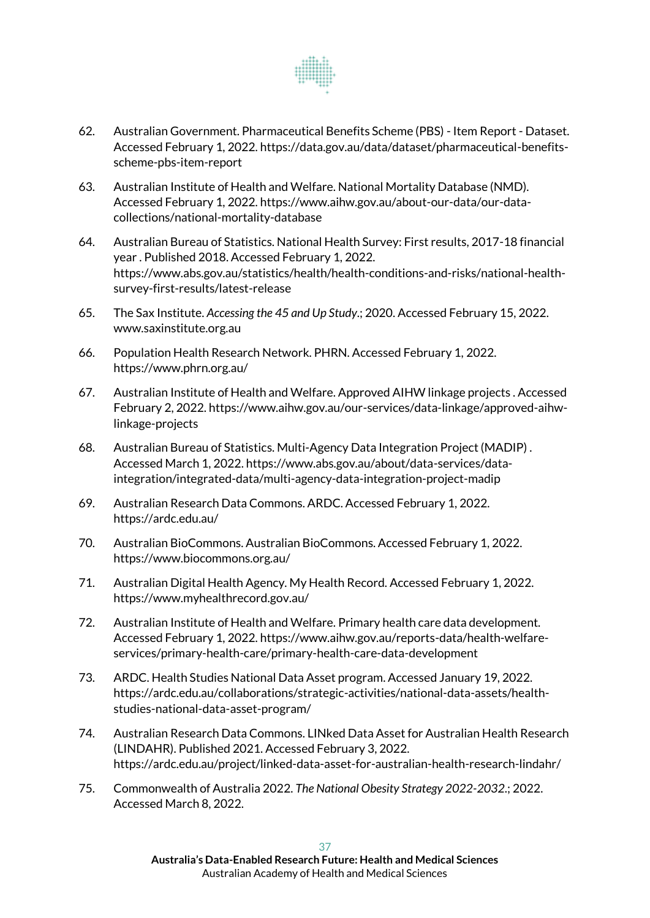

- 62. Australian Government. Pharmaceutical Benefits Scheme (PBS) Item Report Dataset. Accessed February 1, 2022. https://data.gov.au/data/dataset/pharmaceutical-benefitsscheme-pbs-item-report
- 63. Australian Institute of Health and Welfare. National Mortality Database (NMD). Accessed February 1, 2022. https://www.aihw.gov.au/about-our-data/our-datacollections/national-mortality-database
- 64. Australian Bureau of Statistics. National Health Survey: First results, 2017-18 financial year . Published 2018. Accessed February 1, 2022. https://www.abs.gov.au/statistics/health/health-conditions-and-risks/national-healthsurvey-first-results/latest-release
- 65. The Sax Institute. *Accessing the 45 and Up Study*.; 2020. Accessed February 15, 2022. www.saxinstitute.org.au
- 66. Population Health Research Network. PHRN. Accessed February 1, 2022. https://www.phrn.org.au/
- 67. Australian Institute of Health and Welfare. Approved AIHW linkage projects . Accessed February 2, 2022. https://www.aihw.gov.au/our-services/data-linkage/approved-aihwlinkage-projects
- 68. Australian Bureau of Statistics. Multi-Agency Data Integration Project (MADIP) . Accessed March 1, 2022. https://www.abs.gov.au/about/data-services/dataintegration/integrated-data/multi-agency-data-integration-project-madip
- 69. Australian Research Data Commons. ARDC. Accessed February 1, 2022. https://ardc.edu.au/
- 70. Australian BioCommons. Australian BioCommons. Accessed February 1, 2022. https://www.biocommons.org.au/
- 71. Australian Digital Health Agency. My Health Record. Accessed February 1, 2022. https://www.myhealthrecord.gov.au/
- 72. Australian Institute of Health and Welfare. Primary health care data development. Accessed February 1, 2022. https://www.aihw.gov.au/reports-data/health-welfareservices/primary-health-care/primary-health-care-data-development
- 73. ARDC. Health Studies National Data Asset program. Accessed January 19, 2022. https://ardc.edu.au/collaborations/strategic-activities/national-data-assets/healthstudies-national-data-asset-program/
- 74. Australian Research Data Commons. LINked Data Asset for Australian Health Research (LINDAHR). Published 2021. Accessed February 3, 2022. https://ardc.edu.au/project/linked-data-asset-for-australian-health-research-lindahr/
- 75. Commonwealth of Australia 2022. *The National Obesity Strategy 2022-2032*.; 2022. Accessed March 8, 2022.